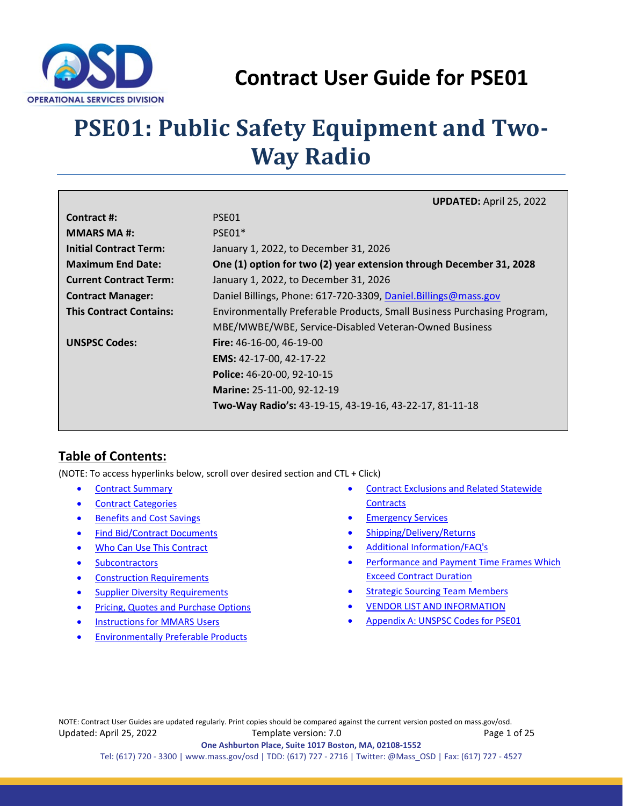

# **Contract User Guide for PSE01**

# <span id="page-0-0"></span>**PSE01: Public Safety Equipment and Two-Way Radio**

|                                | <b>UPDATED: April 25, 2022</b>                                          |
|--------------------------------|-------------------------------------------------------------------------|
| Contract #:                    | PSE01                                                                   |
| <b>MMARS MA#:</b>              | PSE01*                                                                  |
| <b>Initial Contract Term:</b>  | January 1, 2022, to December 31, 2026                                   |
| <b>Maximum End Date:</b>       | One (1) option for two (2) year extension through December 31, 2028     |
| <b>Current Contract Term:</b>  | January 1, 2022, to December 31, 2026                                   |
| <b>Contract Manager:</b>       | Daniel Billings, Phone: 617-720-3309, Daniel.Billings@mass.gov          |
| <b>This Contract Contains:</b> | Environmentally Preferable Products, Small Business Purchasing Program, |
|                                | MBE/MWBE/WBE, Service-Disabled Veteran-Owned Business                   |
| <b>UNSPSC Codes:</b>           | <b>Fire:</b> $46-16-00$ , $46-19-00$                                    |
|                                | EMS: 42-17-00, 42-17-22                                                 |
|                                | Police: 46-20-00, 92-10-15                                              |
|                                | Marine: 25-11-00, 92-12-19                                              |
|                                | Two-Way Radio's: 43-19-15, 43-19-16, 43-22-17, 81-11-18                 |

## **Table of Contents:**

(NOTE: To access hyperlinks below, scroll over desired section and CTL + Click)

- [Contract Summary](#page-1-0)
- **[Contract Categories](#page-1-1)**
- [Benefits and Cost Savings](#page-2-0)
- [Find Bid/Contract Documents](#page-2-1)
- [Who Can Use This Contract](#page-2-2)
- [Subcontractors](#page-2-3)
- [Construction Requirements](#page-3-0)
- [Supplier Diversity Requirements](#page-3-1)
- Pricing, Quotes [and Purchase Options](#page-3-2)
- [Instructions for MMARS Users](#page-7-0)
- **[Environmentally Preferable Products](#page-7-1)**
- [Contract Exclusions and Related Statewide](#page-8-0)  **[Contracts](#page-8-0)**
- **[Emergency Services](#page-8-1)**
- [Shipping/Delivery/Returns](#page-8-2)
- [Additional Information/FAQ's](#page-9-0)
- [Performance and Payment Time Frames Which](#page-12-0)  [Exceed Contract Duration](#page-12-0)
- **[Strategic Sourcing Team Members](#page-13-0)**
- [VENDOR LIST AND INFORMATION](#page-14-0)
- [Appendix A:](#page-20-0) UNSPSC [Codes](#page-20-1) for PSE01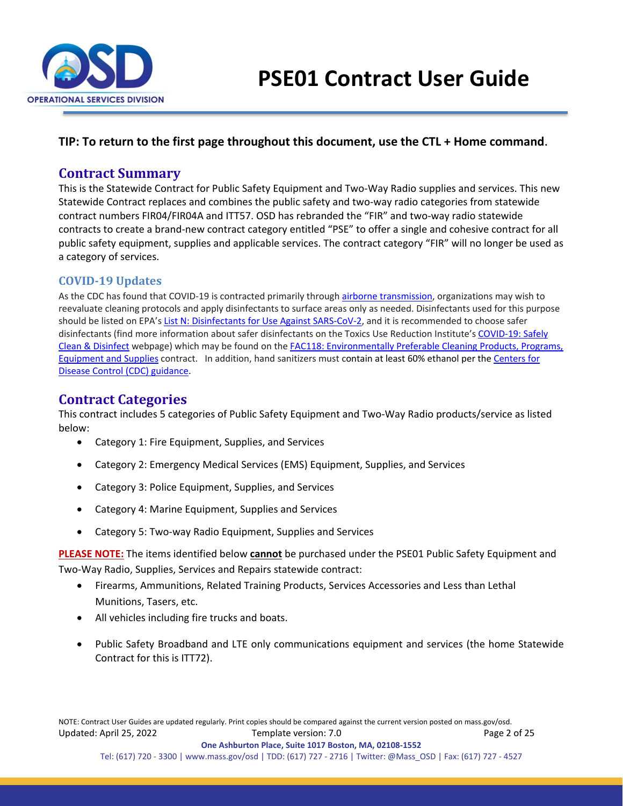

#### <span id="page-1-0"></span>**TIP: To return to the first page throughout this document, use the CTL + Home command**.

### **Contract Summary**

This is the Statewide Contract for Public Safety Equipment and Two-Way Radio supplies and services. This new Statewide Contract replaces and combines the public safety and two-way radio categories from statewide contract numbers FIR04/FIR04A and ITT57. OSD has rebranded the "FIR" and two-way radio statewide contracts to create a brand-new contract category entitled "PSE" to offer a single and cohesive contract for all public safety equipment, supplies and applicable services. The contract category "FIR" will no longer be used as a category of services.

#### **COVID-19 Updates**

<span id="page-1-1"></span>As the CDC has found that COVID-19 is contracted primarily through [airborne transmission,](https://www.cdc.gov/coronavirus/2019-ncov/science/science-briefs/sars-cov-2-transmission.html) organizations may wish to reevaluate cleaning protocols and apply disinfectants to surface areas only as needed. Disinfectants used for this purpose should be listed on EPA's [List N: Disinfectants for Use Against SARS-CoV-2,](https://www.epa.gov/pesticide-registration/list-n-disinfectants-use-against-sars-cov-2) and it is recommended to choose safer disinfectants (find more information about safer disinfectants on the Toxics Use Reduction Institute's [COVID-19: Safely](https://www.turi.org/Our_Work/Cleaning_Laboratory/COVID-19_Safely_Clean_Disinfect)  [Clean & Disinfect](https://www.turi.org/Our_Work/Cleaning_Laboratory/COVID-19_Safely_Clean_Disinfect) webpage) which may be found on the [FAC118: Environmentally Preferable Cleaning Products, Programs,](https://www.mass.gov/service-details/facilities-maintenance-repair-and-services)  [Equipment and Supplies](https://www.mass.gov/service-details/facilities-maintenance-repair-and-services) contract. In addition, hand sanitizers must contain at least 60% ethanol per the [Centers for](https://www.cdc.gov/handwashing/when-how-handwashing.html)  [Disease Control \(CDC\) guidance.](https://www.cdc.gov/handwashing/when-how-handwashing.html)

## **Contract Categories**

This contract includes 5 categories of Public Safety Equipment and Two-Way Radio products/service as listed below:

- Category 1: Fire Equipment, Supplies, and Services
- Category 2: Emergency Medical Services (EMS) Equipment, Supplies, and Services
- Category 3: Police Equipment, Supplies, and Services
- Category 4: Marine Equipment, Supplies and Services
- Category 5: Two-way Radio Equipment, Supplies and Services

**PLEASE NOTE:** The items identified below **cannot** be purchased under the PSE01 Public Safety Equipment and Two-Way Radio, Supplies, Services and Repairs statewide contract:

- Firearms, Ammunitions, Related Training Products, Services Accessories and Less than Lethal Munitions, Tasers, etc.
- All vehicles including fire trucks and boats.
- Public Safety Broadband and LTE only communications equipment and services (the home Statewide Contract for this is ITT72).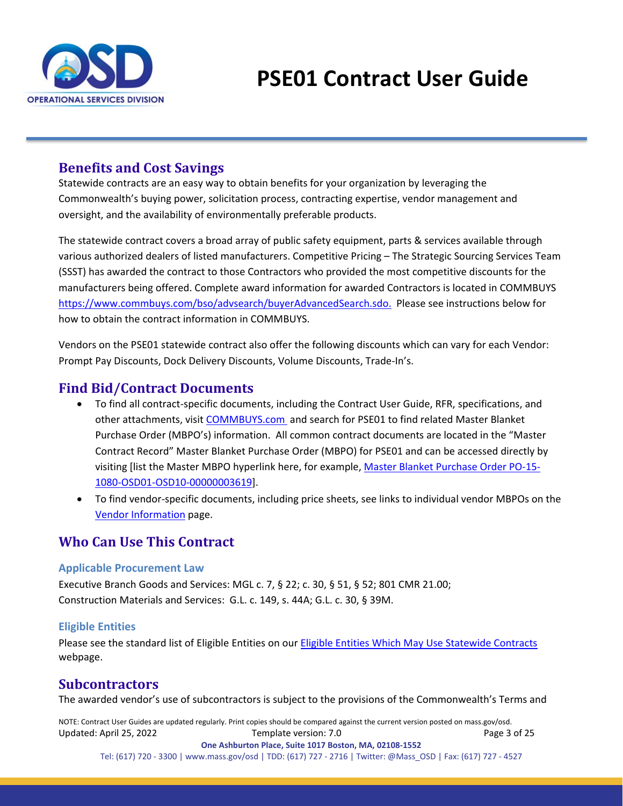

## <span id="page-2-0"></span>**Benefits and Cost Savings**

Statewide contracts are an easy way to obtain benefits for your organization by leveraging the Commonwealth's buying power, solicitation process, contracting expertise, vendor management and oversight, and the availability of environmentally preferable products.

The statewide contract covers a broad array of public safety equipment, parts & services available through various authorized dealers of listed manufacturers. Competitive Pricing – The Strategic Sourcing Services Team (SSST) has awarded the contract to those Contractors who provided the most competitive discounts for the manufacturers being offered. Complete award information for awarded Contractors is located in COMMBUYS [https://www.commbuys.com/bso/advsearch/buyerAdvancedSearch.sdo.](https://www.commbuys.com/bso/advsearch/buyerAdvancedSearch.sdo) Please see instructions below for how to obtain the contract information in COMMBUYS.

Vendors on the PSE01 statewide contract also offer the following discounts which can vary for each Vendor: Prompt Pay Discounts, Dock Delivery Discounts, Volume Discounts, Trade-In's.

## <span id="page-2-1"></span>**Find Bid/Contract Documents**

- To find all contract-specific documents, including the Contract User Guide, RFR, specifications, and other attachments, visi[t COMMBUYS.com](http://www.commbuys.com/) and search for PSE01 to find related Master Blanket Purchase Order (MBPO's) information. All common contract documents are located in the "Master Contract Record" Master Blanket Purchase Order (MBPO) for PSE01 and can be accessed directly by visiting [list the Master MBPO hyperlink here, for example, [Master Blanket Purchase Order PO-15-](https://www.commbuys.com/bso/external/bidDetail.sdo?docId=BD-21-1080-OSD03-SRC04-62275&external=true&parentUrl=close) [1080-OSD01-OSD10-00000003619\]](https://www.commbuys.com/bso/external/bidDetail.sdo?docId=BD-21-1080-OSD03-SRC04-62275&external=true&parentUrl=close).
- To find vendor-specific documents, including price sheets, see links to individual vendor MBPOs on the [Vendor Information](#page-14-0) page.

## <span id="page-2-2"></span>**Who Can Use This Contract**

#### **Applicable Procurement Law**

Executive Branch Goods and Services: MGL c. 7, § 22; c. 30, § 51, § 52; 801 CMR 21.00; Construction Materials and Services: G.L. c. 149, s. 44A; G.L. c. 30, § 39M.

#### **Eligible Entities**

Please see the standard list of Eligible Entities on our [Eligible Entities Which May Use Statewide Contracts](https://www.mass.gov/info-details/why-use-statewide-contracts#eligible-entities-which-may-use-statewide-contracts-) webpage.

## <span id="page-2-3"></span>**Subcontractors**

The awarded vendor's use of subcontractors is subject to the provisions of the Commonwealth's Terms and

NOTE: Contract User Guides are updated regularly. Print copies should be compared against the current version posted on mass.gov/osd. Updated: April 25, 2022 Template version: 7.0 Page 3 of 25 **One Ashburton Place, Suite 1017 Boston, MA, 02108-1552**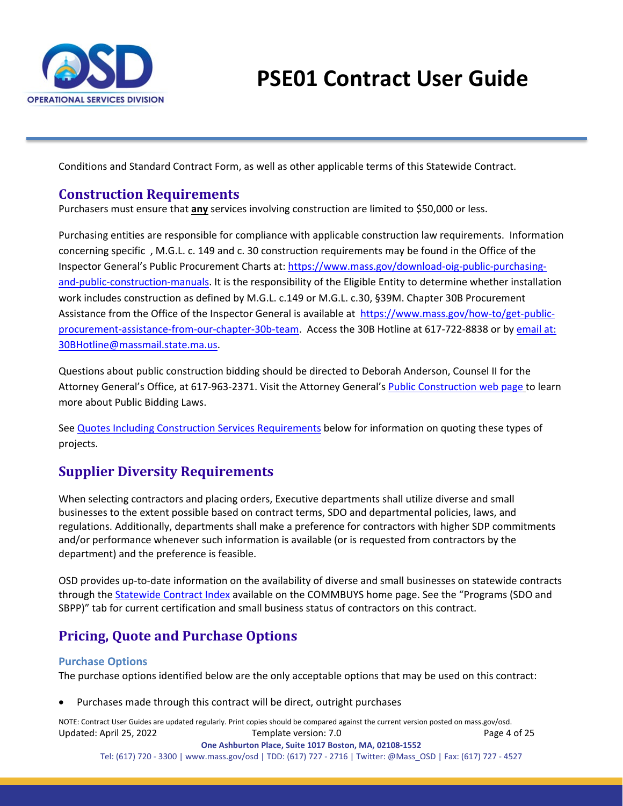

Conditions and Standard Contract Form, as well as other applicable terms of this Statewide Contract.

## <span id="page-3-0"></span>**Construction Requirements**

Purchasers must ensure that **any** services involving construction are limited to \$50,000 or less.

Purchasing entities are responsible for compliance with applicable construction law requirements. Information concerning specific , M.G.L. c. 149 and c. 30 construction requirements may be found in the Office of the Inspector General's Public Procurement Charts at: [https://www.mass.gov/download-oig-public-purchasing](https://www.mass.gov/download-oig-public-purchasing-and-public-construction-manuals)[and-public-construction-manuals.](https://www.mass.gov/download-oig-public-purchasing-and-public-construction-manuals) It is the responsibility of the Eligible Entity to determine whether installation work includes construction as defined by M.G.L. c.149 or M.G.L. c.30, §39M. Chapter 30B Procurement Assistance from the Office of the Inspector General is available at [https://www.mass.gov/how-to/get-public](https://www.mass.gov/how-to/get-public-procurement-assistance-from-our-chapter-30b-team)[procurement-assistance-from-our-chapter-30b-team.](https://www.mass.gov/how-to/get-public-procurement-assistance-from-our-chapter-30b-team) Access the 30B Hotline at 617-722-8838 or by [email at:](mailto:email%20at:%2030BHotline@massmail.state.ma.us)  [30BHotline@massmail.state.ma.us.](mailto:email%20at:%2030BHotline@massmail.state.ma.us)

Questions about public construction bidding should be directed to Deborah Anderson, Counsel II for the Attorney General's Office, at 617-963-2371. Visit the Attorney General'[s Public Construction web page](https://www.mass.gov/public-construction) to learn more about Public Bidding Laws.

See [Quotes Including Construction Services Requirements](#page-7-2) below for information on quoting these types of projects.

## <span id="page-3-1"></span>**Supplier Diversity Requirements**

When selecting contractors and placing orders, Executive departments shall utilize diverse and small businesses to the extent possible based on contract terms, SDO and departmental policies, laws, and regulations. Additionally, departments shall make a preference for contractors with higher SDP commitments and/or performance whenever such information is available (or is requested from contractors by the department) and the preference is feasible.

OSD provides up-to-date information on the availability of diverse and small businesses on statewide contracts through the [Statewide Contract Index](https://www.mass.gov/doc/statewide-contract-index/download) available on the COMMBUYS home page. See the "Programs (SDO and SBPP)" tab for current certification and small business status of contractors on this contract.

## <span id="page-3-2"></span>**Pricing, Quote and Purchase Options**

#### **Purchase Options**

The purchase options identified below are the only acceptable options that may be used on this contract:

• Purchases made through this contract will be direct, outright purchases

NOTE: Contract User Guides are updated regularly. Print copies should be compared against the current version posted on mass.gov/osd. Updated: April 25, 2022 Template version: 7.0 Page 4 of 25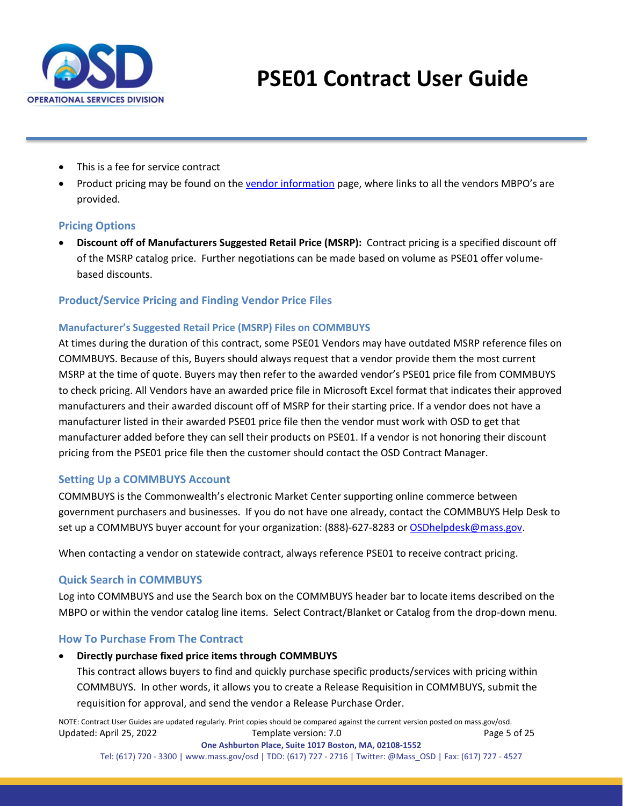

- This is a fee for service contract
- Product pricing may be found on the [vendor information](#page-14-0) page, where links to all the vendors MBPO's are provided.

#### **Pricing Options**

• **Discount off of Manufacturers Suggested Retail Price (MSRP):** Contract pricing is a specified discount off of the MSRP catalog price. Further negotiations can be made based on volume as PSE01 offer volumebased discounts.

#### **Product/Service Pricing and Finding Vendor Price Files**

#### **Manufacturer's Suggested Retail Price (MSRP) Files on COMMBUYS**

At times during the duration of this contract, some PSE01 Vendors may have outdated MSRP reference files on COMMBUYS. Because of this, Buyers should always request that a vendor provide them the most current MSRP at the time of quote. Buyers may then refer to the awarded vendor's PSE01 price file from COMMBUYS to check pricing. All Vendors have an awarded price file in Microsoft Excel format that indicates their approved manufacturers and their awarded discount off of MSRP for their starting price. If a vendor does not have a manufacturer listed in their awarded PSE01 price file then the vendor must work with OSD to get that manufacturer added before they can sell their products on PSE01. If a vendor is not honoring their discount pricing from the PSE01 price file then the customer should contact the OSD Contract Manager.

#### **Setting Up a COMMBUYS Account**

COMMBUYS is the Commonwealth's electronic Market Center supporting online commerce between government purchasers and businesses. If you do not have one already, contact the COMMBUYS Help Desk to set up a COMMBUYS buyer account for your organization: (888)-627-8283 or [OSDhelpdesk@mass.gov.](mailto:OSDhelpdesk@mass.gov)

When contacting a vendor on statewide contract, always reference PSE01 to receive contract pricing.

#### **Quick Search in COMMBUYS**

Log into COMMBUYS and use the Search box on the COMMBUYS header bar to locate items described on the MBPO or within the vendor catalog line items. Select Contract/Blanket or Catalog from the drop-down menu.

#### **How To Purchase From The Contract**

#### • **Directly purchase fixed price items through COMMBUYS**

This contract allows buyers to find and quickly purchase specific products/services with pricing within COMMBUYS. In other words, it allows you to create a Release Requisition in COMMBUYS, submit the requisition for approval, and send the vendor a Release Purchase Order.

NOTE: Contract User Guides are updated regularly. Print copies should be compared against the current version posted on mass.gov/osd. Updated: April 25, 2022 Template version: 7.0 Page 5 of 25 **One Ashburton Place, Suite 1017 Boston, MA, 02108-1552**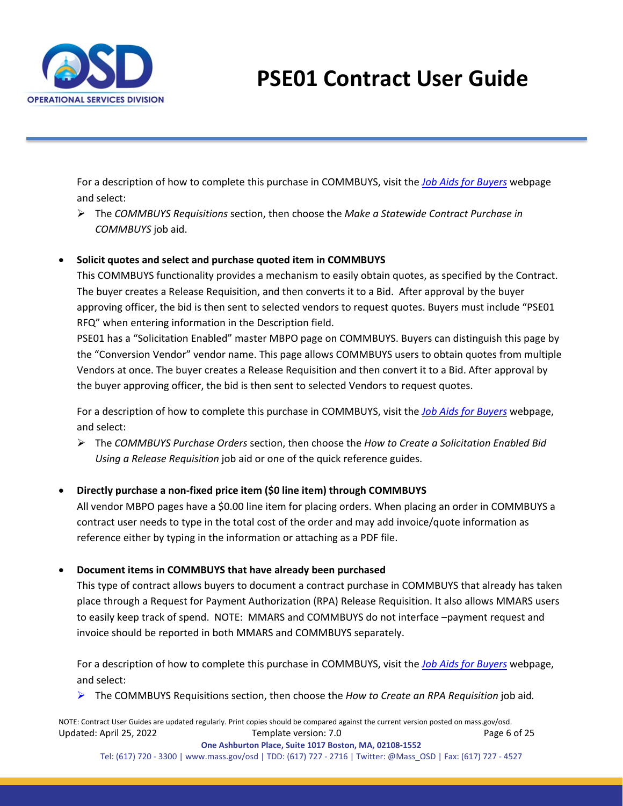

For a description of how to complete this purchase in COMMBUYS, visit the *[Job Aids for Buyers](https://www.mass.gov/lists/job-aids-for-buyers-using-commbuys)* webpage and select:

 The *COMMBUYS Requisitions* section, then choose the *Make a Statewide Contract Purchase in COMMBUYS* job aid.

#### • **Solicit quotes and select and purchase quoted item in COMMBUYS**

This COMMBUYS functionality provides a mechanism to easily obtain quotes, as specified by the Contract. The buyer creates a Release Requisition, and then converts it to a Bid. After approval by the buyer approving officer, the bid is then sent to selected vendors to request quotes. Buyers must include "PSE01 RFQ" when entering information in the Description field.

PSE01 has a "Solicitation Enabled" master MBPO page on COMMBUYS. Buyers can distinguish this page by the "Conversion Vendor" vendor name. This page allows COMMBUYS users to obtain quotes from multiple Vendors at once. The buyer creates a Release Requisition and then convert it to a Bid. After approval by the buyer approving officer, the bid is then sent to selected Vendors to request quotes.

For a description of how to complete this purchase in COMMBUYS, visit the *[Job Aids for Buyers](https://www.mass.gov/lists/job-aids-for-buyers-using-commbuys)* webpage, and select:

 The *COMMBUYS Purchase Orders* section, then choose the *How to Create a Solicitation Enabled Bid Using a Release Requisition* job aid or one of the quick reference guides.

#### • **Directly purchase a non-fixed price item (\$0 line item) through COMMBUYS**

All vendor MBPO pages have a \$0.00 line item for placing orders. When placing an order in COMMBUYS a contract user needs to type in the total cost of the order and may add invoice/quote information as reference either by typing in the information or attaching as a PDF file.

#### • **Document items in COMMBUYS that have already been purchased**

This type of contract allows buyers to document a contract purchase in COMMBUYS that already has taken place through a Request for Payment Authorization (RPA) Release Requisition. It also allows MMARS users to easily keep track of spend. NOTE: MMARS and COMMBUYS do not interface –payment request and invoice should be reported in both MMARS and COMMBUYS separately.

For a description of how to complete this purchase in COMMBUYS, visit the *[Job Aids for Buyers](https://www.mass.gov/lists/job-aids-for-buyers-using-commbuys)* webpage, and select:

The COMMBUYS Requisitions section, then choose the *How to Create an RPA Requisition* job aid*.*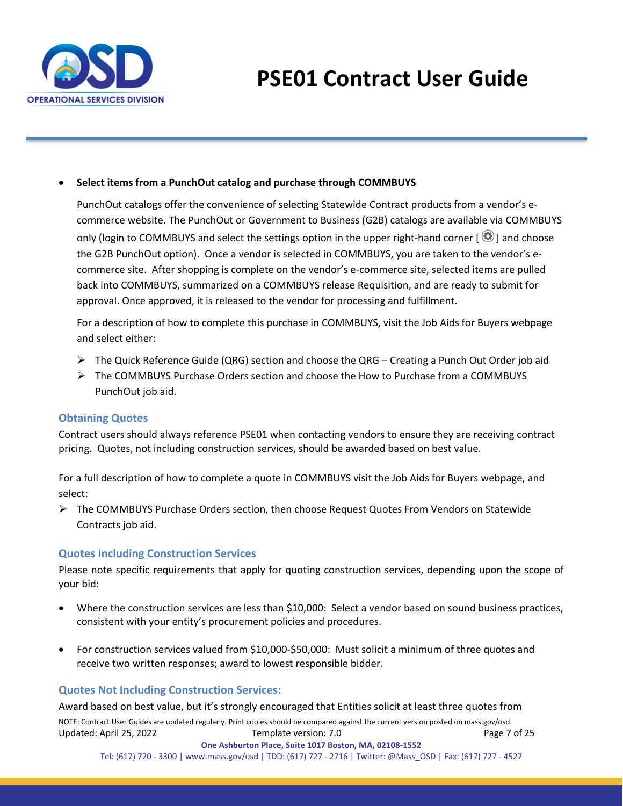

#### • **Select items from a PunchOut catalog and purchase through COMMBUYS**

PunchOut catalogs offer the convenience of selecting Statewide Contract products from a vendor's ecommerce website. The PunchOut or Government to Business (G2B) catalogs are available via COMMBUYS only (login to COMMBUYS and select the settings option in the upper right-hand corner  $[\bullet]$  and choose the G2B PunchOut option). Once a vendor is selected in COMMBUYS, you are taken to the vendor's ecommerce site. After shopping is complete on the vendor's e-commerce site, selected items are pulled back into COMMBUYS, summarized on a COMMBUYS release Requisition, and are ready to submit for approval. Once approved, it is released to the vendor for processing and fulfillment.

For a description of how to complete this purchase in COMMBUYS, visit the [Job Aids for Buyers](https://www.mass.gov/lists/job-aids-for-buyers-using-commbuys) webpage and select either:

- $\triangleright$  The Quick Reference Guide (QRG) section and choose the QRG Creating a Punch Out Order job aid
- $\triangleright$  The COMMBUYS Purchase Orders section and choose the How to Purchase from a COMMBUYS PunchOut job aid.

#### **Obtaining Quotes**

Contract users should always reference PSE01 when contacting vendors to ensure they are receiving contract pricing. Quotes, not including construction services, should be awarded based on best value.

For a full description of how to complete a quote in COMMBUYS visit the [Job Aids for Buyers](https://www.mass.gov/lists/job-aids-for-buyers-using-commbuys) webpage, and select:

 The COMMBUYS Purchase Orders section, then choose Request Quotes From Vendors on Statewide Contracts job aid.

#### **Quotes Including Construction Services**

Please note specific requirements that apply for quoting construction services, depending upon the scope of your bid:

- Where the construction services are less than \$10,000: Select a vendor based on sound business practices, consistent with your entity's procurement policies and procedures.
- For construction services valued from \$10,000-\$50,000: Must solicit a minimum of three quotes and receive two written responses; award to lowest responsible bidder.

#### **Quotes Not Including Construction Services:**

Award based on best value, but it's strongly encouraged that Entities solicit at least three quotes from

NOTE: Contract User Guides are updated regularly. Print copies should be compared against the current version posted on mass.gov/osd. Updated: April 25, 2022 Template version: 7.0 Page 7 of 25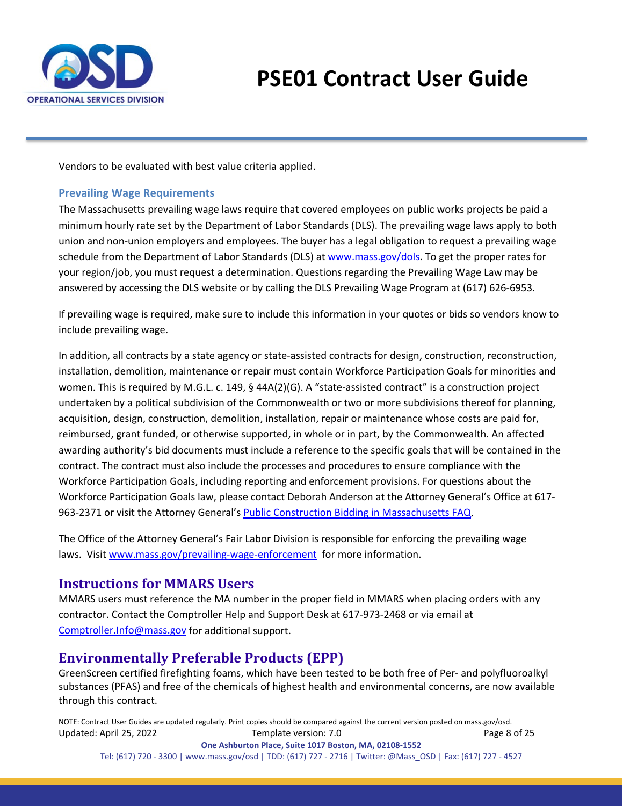

Vendors to be evaluated with best value criteria applied.

#### <span id="page-7-2"></span>**Prevailing Wage Requirements**

The Massachusetts prevailing wage laws require that covered employees on public works projects be paid a minimum hourly rate set by the Department of Labor Standards (DLS). The prevailing wage laws apply to both union and non-union employers and employees. The buyer has a legal obligation to request a prevailing wage schedule from th[e Department of Labor Standards \(DLS\) at www.mass.gov/dols.](http://www.mass.gov/dols) To get the proper rates for your region/job, you must request a determination. Questions regarding the Prevailing Wage Law may be answered by accessing the DLS website or by calling the DLS Prevailing Wage Program at (617) 626-6953.

If prevailing wage is required, make sure to include this information in your quotes or bids so vendors know to include prevailing wage.

In addition, all contracts by a state agency or state-assisted contracts for design, construction, reconstruction, installation, demolition, maintenance or repair must contain Workforce Participation Goals for minorities and women. This is required by M.G.L. c. 149, § 44A(2)(G). A "state-assisted contract" is a construction project undertaken by a political subdivision of the Commonwealth or two or more subdivisions thereof for planning, acquisition, design, construction, demolition, installation, repair or maintenance whose costs are paid for, reimbursed, grant funded, or otherwise supported, in whole or in part, by the Commonwealth. An affected awarding authority's bid documents must include a reference to the specific goals that will be contained in the contract. The contract must also include the processes and procedures to ensure compliance with the Workforce Participation Goals, including reporting and enforcement provisions. For questions about the Workforce Participation Goals law, please contact Deborah Anderson at the Attorney General's Office at 617- 963-2371 or visit the Attorney General's **Public Construction Bidding in Massachusetts FAQ**.

The Office of the Attorney General's Fair Labor Division is responsible for enforcing the prevailing wage laws. Visit [www.mass.gov/prevailing-wage-enforcement](http://www.mass.gov/prevailing-wage-enforcement) for more information.

## <span id="page-7-0"></span>**Instructions for MMARS Users**

MMARS users must reference the MA number in the proper field in MMARS when placing orders with any contractor. Contact the Comptroller Help and Support Desk at 617-973-2468 or via email at [Comptroller.Info@mass.gov](mailto:Comptroller.Info@mass.gov) for additional support.

## <span id="page-7-1"></span>**Environmentally Preferable Products (EPP)**

GreenScreen certified firefighting foams, which have been tested to be both free of Per- and polyfluoroalkyl substances (PFAS) and free of the chemicals of highest health and environmental concerns, are now available through this contract.

NOTE: Contract User Guides are updated regularly. Print copies should be compared against the current version posted on mass.gov/osd. Updated: April 25, 2022 Template version: 7.0 Page 8 of 25 **One Ashburton Place, Suite 1017 Boston, MA, 02108-1552**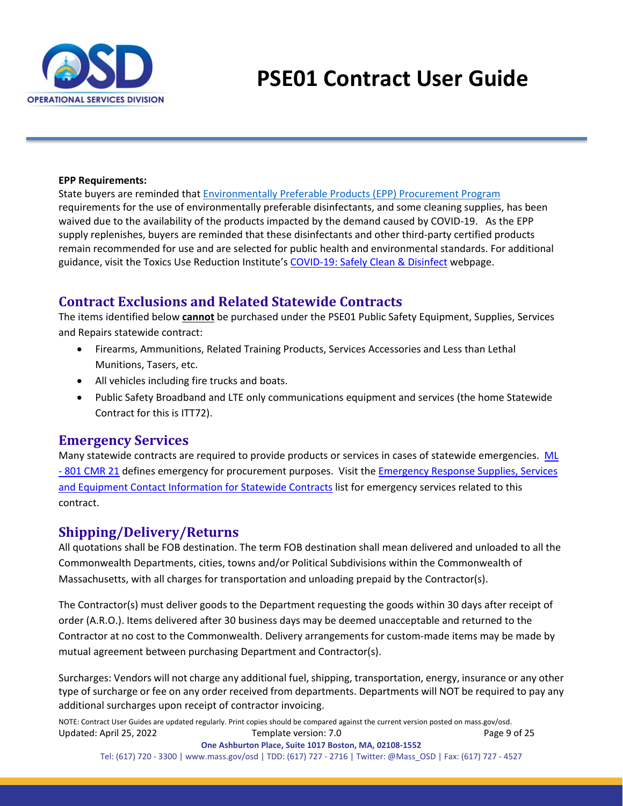

#### **EPP Requirements:**

State buyers are reminded that [Environmentally Preferable Products \(EPP\) Procurement Program](https://www.mass.gov/environmentally-preferable-products-epp-procurement-programs) requirements for the use of environmentally preferable disinfectants, and some cleaning supplies, has been waived due to the availability of the products impacted by the demand caused by COVID-19. As the EPP supply replenishes, buyers are reminded that these disinfectants and other third-party certified products remain recommended for use and are selected for public health and environmental standards. For additional guidance, visit the Toxics Use Reduction Institute's [COVID-19: Safely Clean & Disinfect](https://www.turi.org/Our_Work/Cleaning_Laboratory/COVID-19_Safely_Clean_Disinfect) webpage.

#### <span id="page-8-0"></span>**Contract Exclusions and Related Statewide Contracts**

The items identified below **cannot** be purchased under the PSE01 Public Safety Equipment, Supplies, Services and Repairs statewide contract:

- Firearms, Ammunitions, Related Training Products, Services Accessories and Less than Lethal Munitions, Tasers, etc.
- All vehicles including fire trucks and boats.
- Public Safety Broadband and LTE only communications equipment and services (the home Statewide Contract for this is ITT72).

#### <span id="page-8-1"></span>**Emergency Services**

Many statewide contracts are required to provide products or services in cases of statewide emergencies. [ML](https://www.mass.gov/regulations/801-CMR-21-procurement-of-commodities-or-services-including-human-and-social-services)  - [801 CMR 21](https://www.mass.gov/regulations/801-CMR-21-procurement-of-commodities-or-services-including-human-and-social-services) defines emergency for procurement purposes. Visit the [Emergency Response Supplies, Services](https://www.mass.gov/doc/emergency-response-supplies-services-and-equipment-contact-information)  [and Equipment Contact Information for Statewide Contracts](https://www.mass.gov/doc/emergency-response-supplies-services-and-equipment-contact-information) list for emergency services related to this contract.

## <span id="page-8-2"></span>**Shipping/Delivery/Returns**

All quotations shall be FOB destination. The term FOB destination shall mean delivered and unloaded to all the Commonwealth Departments, cities, towns and/or Political Subdivisions within the Commonwealth of Massachusetts, with all charges for transportation and unloading prepaid by the Contractor(s).

The Contractor(s) must deliver goods to the Department requesting the goods within 30 days after receipt of order (A.R.O.). Items delivered after 30 business days may be deemed unacceptable and returned to the Contractor at no cost to the Commonwealth. Delivery arrangements for custom-made items may be made by mutual agreement between purchasing Department and Contractor(s).

Surcharges: Vendors will not charge any additional fuel, shipping, transportation, energy, insurance or any other type of surcharge or fee on any order received from departments. Departments will NOT be required to pay any additional surcharges upon receipt of contractor invoicing.

NOTE: Contract User Guides are updated regularly. Print copies should be compared against the current version posted on mass.gov/osd. Updated: April 25, 2022 Template version: 7.0 Page 9 of 25 **One Ashburton Place, Suite 1017 Boston, MA, 02108-1552**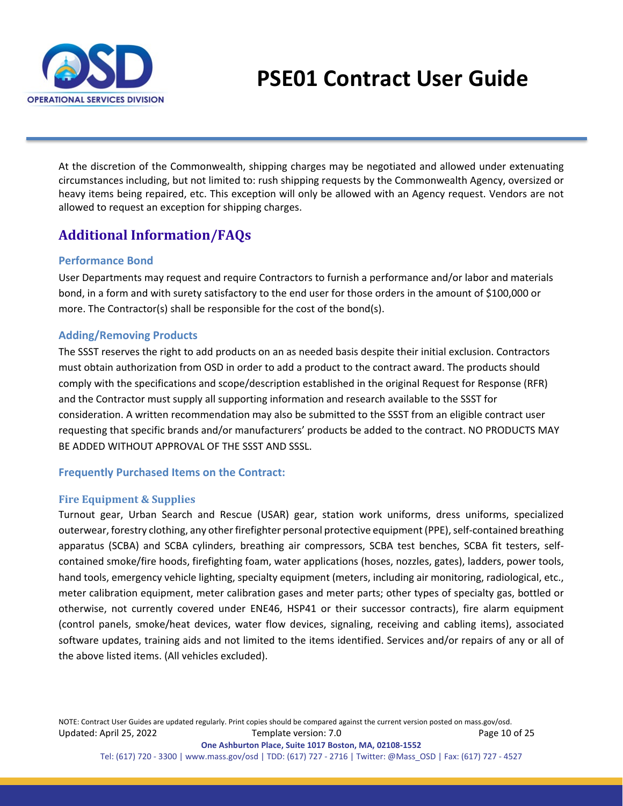

At the discretion of the Commonwealth, shipping charges may be negotiated and allowed under extenuating circumstances including, but not limited to: rush shipping requests by the Commonwealth Agency, oversized or heavy items being repaired, etc. This exception will only be allowed with an Agency request. Vendors are not allowed to request an exception for shipping charges.

## <span id="page-9-0"></span>**Additional Information/FAQs**

#### **Performance Bond**

User Departments may request and require Contractors to furnish a performance and/or labor and materials bond, in a form and with surety satisfactory to the end user for those orders in the amount of \$100,000 or more. The Contractor(s) shall be responsible for the cost of the bond(s).

#### **Adding/Removing Products**

The SSST reserves the right to add products on an as needed basis despite their initial exclusion. Contractors must obtain authorization from OSD in order to add a product to the contract award. The products should comply with the specifications and scope/description established in the original Request for Response (RFR) and the Contractor must supply all supporting information and research available to the SSST for consideration. A written recommendation may also be submitted to the SSST from an eligible contract user requesting that specific brands and/or manufacturers' products be added to the contract. NO PRODUCTS MAY BE ADDED WITHOUT APPROVAL OF THE SSST AND SSSL.

#### **Frequently Purchased Items on the Contract:**

#### **Fire Equipment & Supplies**

Turnout gear, Urban Search and Rescue (USAR) gear, station work uniforms, dress uniforms, specialized outerwear, forestry clothing, any other firefighter personal protective equipment (PPE), self-contained breathing apparatus (SCBA) and SCBA cylinders, breathing air compressors, SCBA test benches, SCBA fit testers, selfcontained smoke/fire hoods, firefighting foam, water applications (hoses, nozzles, gates), ladders, power tools, hand tools, emergency vehicle lighting, specialty equipment (meters, including air monitoring, radiological, etc., meter calibration equipment, meter calibration gases and meter parts; other types of specialty gas, bottled or otherwise, not currently covered under ENE46, HSP41 or their successor contracts), fire alarm equipment (control panels, smoke/heat devices, water flow devices, signaling, receiving and cabling items), associated software updates, training aids and not limited to the items identified. Services and/or repairs of any or all of the above listed items. (All vehicles excluded).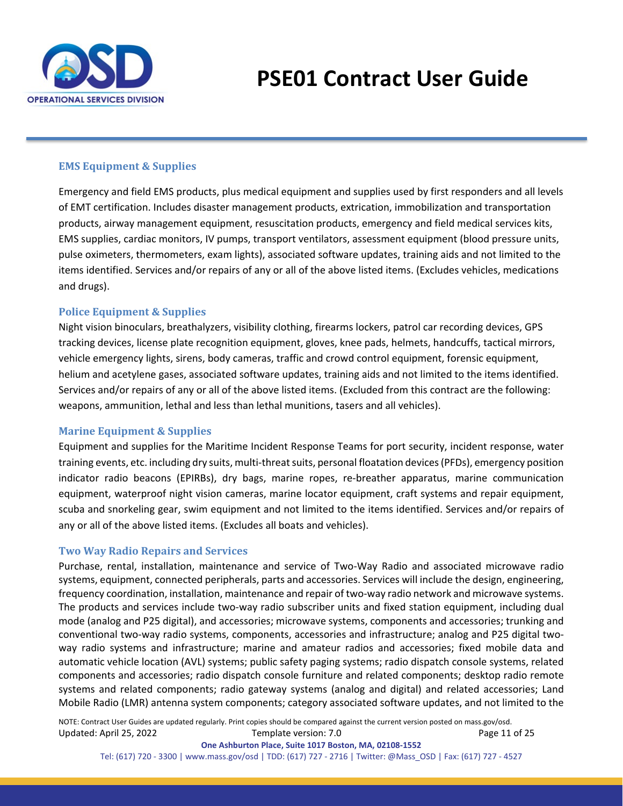

#### **EMS Equipment & Supplies**

Emergency and field EMS products, plus medical equipment and supplies used by first responders and all levels of EMT certification. Includes disaster management products, extrication, immobilization and transportation products, airway management equipment, resuscitation products, emergency and field medical services kits, EMS supplies, cardiac monitors, IV pumps, transport ventilators, assessment equipment (blood pressure units, pulse oximeters, thermometers, exam lights), associated software updates, training aids and not limited to the items identified. Services and/or repairs of any or all of the above listed items. (Excludes vehicles, medications and drugs).

#### **Police Equipment & Supplies**

Night vision binoculars, breathalyzers, visibility clothing, firearms lockers, patrol car recording devices, GPS tracking devices, license plate recognition equipment, gloves, knee pads, helmets, handcuffs, tactical mirrors, vehicle emergency lights, sirens, body cameras, traffic and crowd control equipment, forensic equipment, helium and acetylene gases, associated software updates, training aids and not limited to the items identified. Services and/or repairs of any or all of the above listed items. (Excluded from this contract are the following: weapons, ammunition, lethal and less than lethal munitions, tasers and all vehicles).

#### **Marine Equipment & Supplies**

Equipment and supplies for the Maritime Incident Response Teams for port security, incident response, water training events, etc. including dry suits, multi-threat suits, personal floatation devices (PFDs), emergency position indicator radio beacons (EPIRBs), dry bags, marine ropes, re-breather apparatus, marine communication equipment, waterproof night vision cameras, marine locator equipment, craft systems and repair equipment, scuba and snorkeling gear, swim equipment and not limited to the items identified. Services and/or repairs of any or all of the above listed items. (Excludes all boats and vehicles).

#### **Two Way Radio Repairs and Services**

Purchase, rental, installation, maintenance and service of Two-Way Radio and associated microwave radio systems, equipment, connected peripherals, parts and accessories. Services will include the design, engineering, frequency coordination, installation, maintenance and repair of two-way radio network and microwave systems. The products and services include two-way radio subscriber units and fixed station equipment, including dual mode (analog and P25 digital), and accessories; microwave systems, components and accessories; trunking and conventional two-way radio systems, components, accessories and infrastructure; analog and P25 digital twoway radio systems and infrastructure; marine and amateur radios and accessories; fixed mobile data and automatic vehicle location (AVL) systems; public safety paging systems; radio dispatch console systems, related components and accessories; radio dispatch console furniture and related components; desktop radio remote systems and related components; radio gateway systems (analog and digital) and related accessories; Land Mobile Radio (LMR) antenna system components; category associated software updates, and not limited to the

NOTE: Contract User Guides are updated regularly. Print copies should be compared against the current version posted on mass.gov/osd. Updated: April 25, 2022 Template version: 7.0 Page 11 of 25

**One Ashburton Place, Suite 1017 Boston, MA, 02108-1552** Tel: (617) 720 - 3300 [| www.mass.gov/osd |](http://www.mass.gov/osd) TDD: (617) 727 - 2716 | Twitter: @Mass\_OSD | Fax: (617) 727 - 4527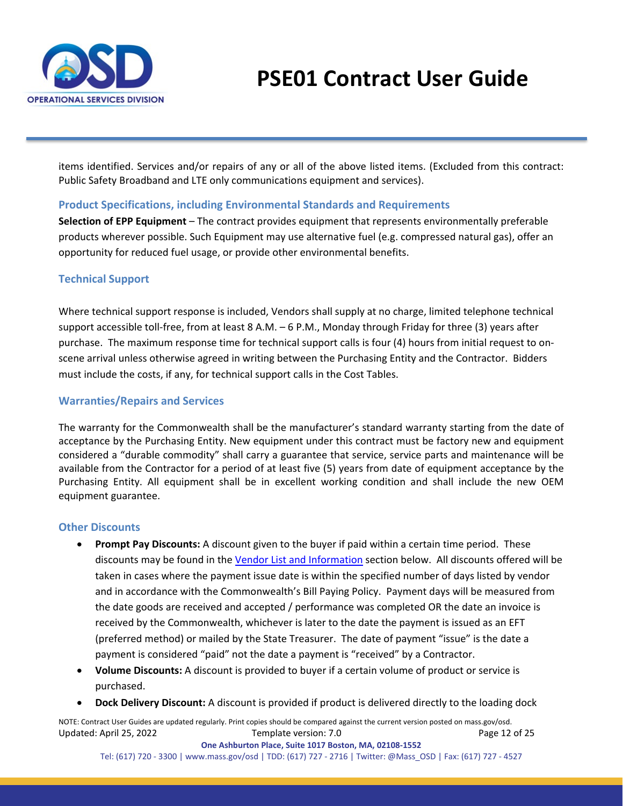

items identified. Services and/or repairs of any or all of the above listed items. (Excluded from this contract: Public Safety Broadband and LTE only communications equipment and services).

#### **Product Specifications, including Environmental Standards and Requirements**

**Selection of EPP Equipment** – The contract provides equipment that represents environmentally preferable products wherever possible. Such Equipment may use alternative fuel (e.g. compressed natural gas), offer an opportunity for reduced fuel usage, or provide other environmental benefits.

#### **Technical Support**

Where technical support response is included, Vendors shall supply at no charge, limited telephone technical support accessible toll-free, from at least 8 A.M. – 6 P.M., Monday through Friday for three (3) years after purchase. The maximum response time for technical support calls is four (4) hours from initial request to onscene arrival unless otherwise agreed in writing between the Purchasing Entity and the Contractor. Bidders must include the costs, if any, for technical support calls in the Cost Tables.

#### **Warranties/Repairs and Services**

The warranty for the Commonwealth shall be the manufacturer's standard warranty starting from the date of acceptance by the Purchasing Entity. New equipment under this contract must be factory new and equipment considered a "durable commodity" shall carry a guarantee that service, service parts and maintenance will be available from the Contractor for a period of at least five (5) years from date of equipment acceptance by the Purchasing Entity. All equipment shall be in excellent working condition and shall include the new OEM equipment guarantee.

#### **Other Discounts**

- **Prompt Pay Discounts:** A discount given to the buyer if paid within a certain time period. These discounts may be found in the [Vendor List and Information](#page-14-0) section below. All discounts offered will be taken in cases where the payment issue date is within the specified number of days listed by vendor and in accordance with the Commonwealth's Bill Paying Policy. Payment days will be measured from the date goods are received and accepted / performance was completed OR the date an invoice is received by the Commonwealth, whichever is later to the date the payment is issued as an EFT (preferred method) or mailed by the State Treasurer. The date of payment "issue" is the date a payment is considered "paid" not the date a payment is "received" by a Contractor.
- **Volume Discounts:** A discount is provided to buyer if a certain volume of product or service is purchased.
- **Dock Delivery Discount:** A discount is provided if product is delivered directly to the loading dock

NOTE: Contract User Guides are updated regularly. Print copies should be compared against the current version posted on mass.gov/osd. Updated: April 25, 2022 Template version: 7.0 Page 12 of 25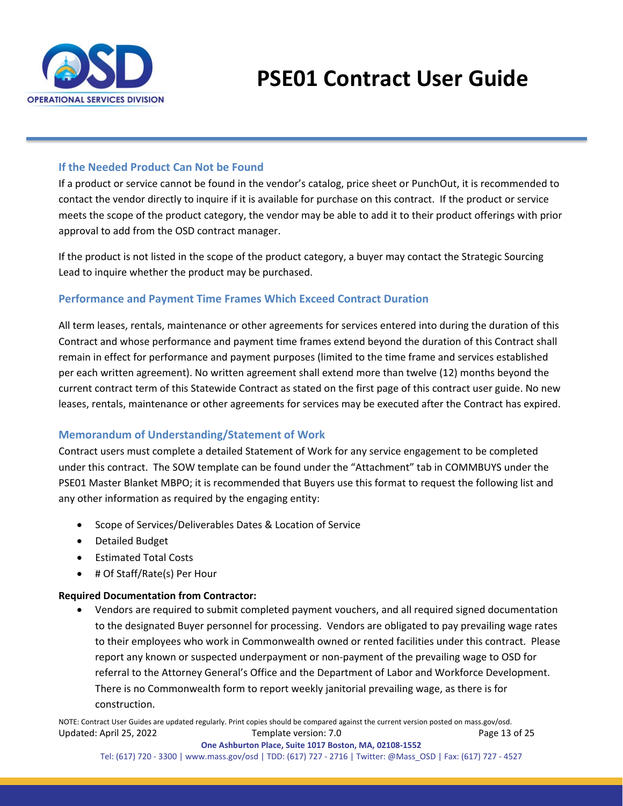

#### **If the Needed Product Can Not be Found**

If a product or service cannot be found in the vendor's catalog, price sheet or PunchOut, it is recommended to contact the vendor directly to inquire if it is available for purchase on this contract. If the product or service meets the scope of the product category, the vendor may be able to add it to their product offerings with prior approval to add from the OSD contract manager.

If the product is not listed in the scope of the product category, a buyer may contact the Strategic Sourcing Lead to inquire whether the product may be purchased.

#### <span id="page-12-0"></span>**Performance and Payment Time Frames Which Exceed Contract Duration**

All term leases, rentals, maintenance or other agreements for services entered into during the duration of this Contract and whose performance and payment time frames extend beyond the duration of this Contract shall remain in effect for performance and payment purposes (limited to the time frame and services established per each written agreement). No written agreement shall extend more than twelve (12) months beyond the current contract term of this Statewide Contract as stated on the [first page](#page-0-0) of this contract user guide. No new leases, rentals, maintenance or other agreements for services may be executed after the Contract has expired.

#### **Memorandum of Understanding/Statement of Work**

Contract users must complete a detailed Statement of Work for any service engagement to be completed under this contract. The SOW template can be found under the "Attachment" tab in COMMBUYS under the PSE01 Master Blanket MBPO; it is recommended that Buyers use this format to request the following list and any other information as required by the engaging entity:

- Scope of Services/Deliverables Dates & Location of Service
- Detailed Budget
- Estimated Total Costs
- # Of Staff/Rate(s) Per Hour

#### **Required Documentation from Contractor:**

• Vendors are required to submit completed payment vouchers, and all required signed documentation to the designated Buyer personnel for processing. Vendors are obligated to pay prevailing wage rates to their employees who work in Commonwealth owned or rented facilities under this contract. Please report any known or suspected underpayment or non-payment of the prevailing wage to OSD for referral to the Attorney General's Office and the Department of Labor and Workforce Development. There is no Commonwealth form to report weekly janitorial prevailing wage, as there is for construction.

NOTE: Contract User Guides are updated regularly. Print copies should be compared against the current version posted on mass.gov/osd. Updated: April 25, 2022 Template version: 7.0 Page 13 of 25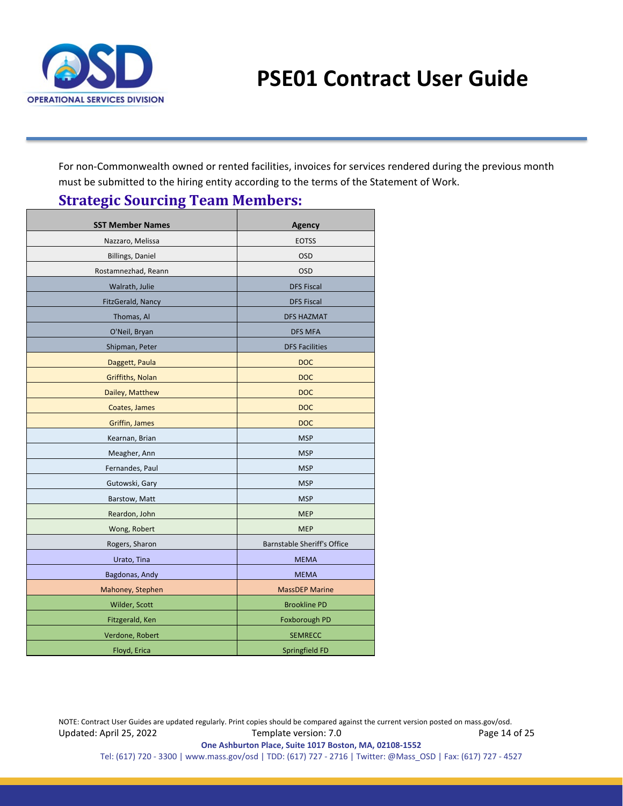

<span id="page-13-0"></span>For non-Commonwealth owned or rented facilities, invoices for services rendered during the previous month must be submitted to the hiring entity according to the terms of the Statement of Work.

# **Strategic Sourcing Team Members:**

| <b>SST Member Names</b> | <b>Agency</b>                      |
|-------------------------|------------------------------------|
| Nazzaro, Melissa        | <b>EOTSS</b>                       |
| <b>Billings, Daniel</b> | <b>OSD</b>                         |
| Rostamnezhad, Reann     | <b>OSD</b>                         |
| Walrath, Julie          | <b>DFS Fiscal</b>                  |
| FitzGerald, Nancy       | <b>DFS Fiscal</b>                  |
| Thomas, Al              | <b>DFS HAZMAT</b>                  |
| O'Neil, Bryan           | <b>DFS MFA</b>                     |
| Shipman, Peter          | <b>DFS Facilities</b>              |
| Daggett, Paula          | <b>DOC</b>                         |
| Griffiths, Nolan        | <b>DOC</b>                         |
| Dailey, Matthew         | <b>DOC</b>                         |
| Coates, James           | <b>DOC</b>                         |
| <b>Griffin, James</b>   | <b>DOC</b>                         |
| Kearnan, Brian          | <b>MSP</b>                         |
| Meagher, Ann            | <b>MSP</b>                         |
| Fernandes, Paul         | <b>MSP</b>                         |
| Gutowski, Gary          | <b>MSP</b>                         |
| Barstow, Matt           | <b>MSP</b>                         |
| Reardon, John           | <b>MEP</b>                         |
| Wong, Robert            | <b>MEP</b>                         |
| Rogers, Sharon          | <b>Barnstable Sheriff's Office</b> |
| Urato, Tina             | <b>MEMA</b>                        |
| Bagdonas, Andy          | <b>MEMA</b>                        |
| Mahoney, Stephen        | <b>MassDEP Marine</b>              |
| Wilder, Scott           | <b>Brookline PD</b>                |
| Fitzgerald, Ken         | Foxborough PD                      |
| Verdone, Robert         | <b>SEMRECC</b>                     |
| Floyd, Erica            | Springfield FD                     |

NOTE: Contract User Guides are updated regularly. Print copies should be compared against the current version posted on mass.gov/osd. Updated: April 25, 2022 Template version: 7.0 Page 14 of 25 **One Ashburton Place, Suite 1017 Boston, MA, 02108-1552**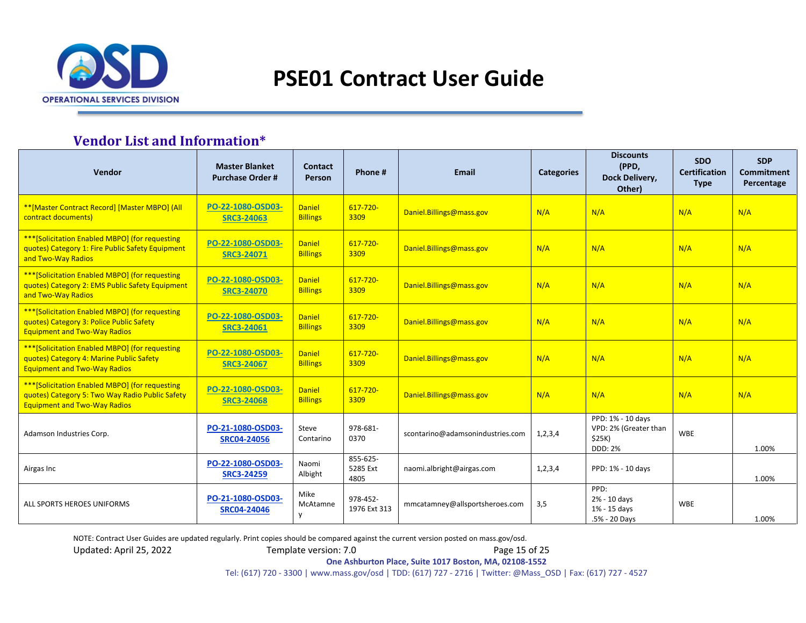

## **Vendor List and Information\***

<span id="page-14-0"></span>

| Vendor                                                                                                                                    | <b>Master Blanket</b><br><b>Purchase Order#</b> | <b>Contact</b><br>Person         | Phone#                       | Email                            | <b>Categories</b> | <b>Discounts</b><br>(PPD,<br>Dock Delivery,<br>Other)                  | <b>SDO</b><br><b>Certification</b><br><b>Type</b> | <b>SDP</b><br><b>Commitment</b><br>Percentage |
|-------------------------------------------------------------------------------------------------------------------------------------------|-------------------------------------------------|----------------------------------|------------------------------|----------------------------------|-------------------|------------------------------------------------------------------------|---------------------------------------------------|-----------------------------------------------|
| ** [Master Contract Record] [Master MBPO] (All<br>contract documents)                                                                     | PO-22-1080-OSD03-<br><b>SRC3-24063</b>          | <b>Daniel</b><br><b>Billings</b> | $617 - 720 -$<br>3309        | Daniel.Billings@mass.gov         | N/A               | N/A                                                                    | N/A                                               | N/A                                           |
| *** [Solicitation Enabled MBPO] (for requesting<br>quotes) Category 1: Fire Public Safety Equipment<br>and Two-Way Radios                 | PO-22-1080-OSD03-<br><b>SRC3-24071</b>          | <b>Daniel</b><br><b>Billings</b> | 617-720-<br>3309             | Daniel.Billings@mass.gov         | N/A               | N/A                                                                    | N/A                                               | N/A                                           |
| *** [Solicitation Enabled MBPO] (for requesting<br>quotes) Category 2: EMS Public Safety Equipment<br>and Two-Way Radios                  | PO-22-1080-OSD03-<br><b>SRC3-24070</b>          | <b>Daniel</b><br><b>Billings</b> | $617 - 720 -$<br>3309        | Daniel.Billings@mass.gov         | N/A               | N/A                                                                    | N/A                                               | N/A                                           |
| *** [Solicitation Enabled MBPO] (for requesting<br>quotes) Category 3: Police Public Safety<br><b>Equipment and Two-Way Radios</b>        | PO-22-1080-OSD03-<br><b>SRC3-24061</b>          | <b>Daniel</b><br><b>Billings</b> | $617 - 720 -$<br>3309        | Daniel.Billings@mass.gov         | N/A               | N/A                                                                    | N/A                                               | N/A                                           |
| *** [Solicitation Enabled MBPO] (for requesting<br>quotes) Category 4: Marine Public Safety<br><b>Equipment and Two-Way Radios</b>        | PO-22-1080-OSD03-<br><b>SRC3-24067</b>          | <b>Daniel</b><br><b>Billings</b> | 617-720-<br>3309             | Daniel.Billings@mass.gov         | N/A               | N/A                                                                    | N/A                                               | N/A                                           |
| *** [Solicitation Enabled MBPO] (for requesting<br>quotes) Category 5: Two Way Radio Public Safety<br><b>Equipment and Two-Way Radios</b> | PO-22-1080-OSD03-<br><b>SRC3-24068</b>          | <b>Daniel</b><br><b>Billings</b> | $617 - 720 -$<br>3309        | Daniel.Billings@mass.gov         | N/A               | N/A                                                                    | N/A                                               | N/A                                           |
| Adamson Industries Corp.                                                                                                                  | PO-21-1080-OSD03-<br><b>SRC04-24056</b>         | Steve<br>Contarino               | 978-681-<br>0370             | scontarino@adamsonindustries.com | 1,2,3,4           | PPD: 1% - 10 days<br>VPD: 2% (Greater than<br>\$25K)<br><b>DDD: 2%</b> | <b>WBE</b>                                        | 1.00%                                         |
| Airgas Inc                                                                                                                                | PO-22-1080-OSD03-<br><b>SRC3-24259</b>          | Naomi<br>Albight                 | 855-625-<br>5285 Ext<br>4805 | naomi.albright@airgas.com        | 1,2,3,4           | PPD: 1% - 10 days                                                      |                                                   | 1.00%                                         |
| ALL SPORTS HEROES UNIFORMS                                                                                                                | PO-21-1080-OSD03-<br><b>SRC04-24046</b>         | Mike<br>McAtamne<br>V            | 978-452-<br>1976 Ext 313     | mmcatamney@allsportsheroes.com   | 3,5               | PPD:<br>2% - 10 days<br>1% - 15 days<br>.5% - 20 Days                  | <b>WBE</b>                                        | 1.00%                                         |

NOTE: Contract User Guides are updated regularly. Print copies should be compared against the current version posted on mass.gov/osd.

Updated: April 25, 2022 Template version: 7.0 Page 15 of 25

**One Ashburton Place, Suite 1017 Boston, MA, 02108-1552**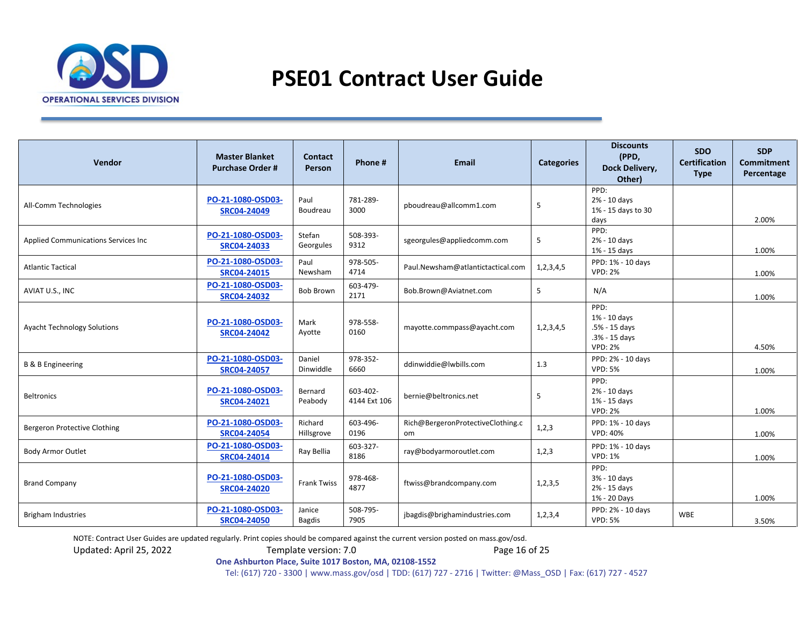

| Vendor                              | <b>Master Blanket</b><br><b>Purchase Order#</b> | <b>Contact</b><br>Person | Phone#                   | <b>Email</b>                            | <b>Categories</b> | <b>Discounts</b><br>(PPD,<br>Dock Delivery,<br>Other)                    | <b>SDO</b><br><b>Certification</b><br><b>Type</b> | <b>SDP</b><br><b>Commitment</b><br>Percentage |
|-------------------------------------|-------------------------------------------------|--------------------------|--------------------------|-----------------------------------------|-------------------|--------------------------------------------------------------------------|---------------------------------------------------|-----------------------------------------------|
| All-Comm Technologies               | PO-21-1080-OSD03-<br><b>SRC04-24049</b>         | Paul<br>Boudreau         | 781-289-<br>3000         | pboudreau@allcomm1.com                  | 5                 | PPD:<br>2% - 10 days<br>1% - 15 days to 30<br>days                       |                                                   | 2.00%                                         |
| Applied Communications Services Inc | PO-21-1080-OSD03-<br><b>SRC04-24033</b>         | Stefan<br>Georgules      | 508-393-<br>9312         | sgeorgules@appliedcomm.com              | 5                 | PPD:<br>2% - 10 days<br>1% - 15 days                                     |                                                   | 1.00%                                         |
| <b>Atlantic Tactical</b>            | PO-21-1080-OSD03-<br>SRC04-24015                | Paul<br>Newsham          | 978-505-<br>4714         | Paul.Newsham@atlantictactical.com       | 1,2,3,4,5         | PPD: 1% - 10 days<br><b>VPD: 2%</b>                                      |                                                   | 1.00%                                         |
| AVIAT U.S., INC                     | PO-21-1080-OSD03-<br>SRC04-24032                | <b>Bob Brown</b>         | 603-479-<br>2171         | Bob.Brown@Aviatnet.com                  | 5                 | N/A                                                                      |                                                   | 1.00%                                         |
| <b>Ayacht Technology Solutions</b>  | PO-21-1080-OSD03-<br><b>SRC04-24042</b>         | Mark<br>Ayotte           | 978-558-<br>0160         | mayotte.commpass@ayacht.com             | 1,2,3,4,5         | PPD:<br>1% - 10 days<br>.5% - 15 days<br>.3% - 15 days<br><b>VPD: 2%</b> |                                                   | 4.50%                                         |
| <b>B &amp; B Engineering</b>        | PO-21-1080-OSD03-<br><b>SRC04-24057</b>         | Daniel<br>Dinwiddle      | 978-352-<br>6660         | ddinwiddie@lwbills.com                  | 1.3               | PPD: 2% - 10 days<br><b>VPD: 5%</b>                                      |                                                   | 1.00%                                         |
| <b>Beltronics</b>                   | PO-21-1080-OSD03-<br>SRC04-24021                | Bernard<br>Peabody       | 603-402-<br>4144 Ext 106 | bernie@beltronics.net                   | 5                 | PPD:<br>2% - 10 days<br>1% - 15 days<br><b>VPD: 2%</b>                   |                                                   | 1.00%                                         |
| Bergeron Protective Clothing        | PO-21-1080-OSD03-<br><b>SRC04-24054</b>         | Richard<br>Hillsgrove    | 603-496-<br>0196         | Rich@BergeronProtectiveClothing.c<br>om | 1,2,3             | PPD: 1% - 10 days<br><b>VPD: 40%</b>                                     |                                                   | 1.00%                                         |
| <b>Body Armor Outlet</b>            | PO-21-1080-OSD03-<br><b>SRC04-24014</b>         | Ray Bellia               | 603-327-<br>8186         | ray@bodyarmoroutlet.com                 | 1,2,3             | PPD: 1% - 10 days<br><b>VPD: 1%</b>                                      |                                                   | 1.00%                                         |
| <b>Brand Company</b>                | PO-21-1080-OSD03-<br><b>SRC04-24020</b>         | <b>Frank Twiss</b>       | 978-468-<br>4877         | ftwiss@brandcompany.com                 | 1,2,3,5           | PPD:<br>3% - 10 days<br>2% - 15 days<br>1% - 20 Days                     |                                                   | 1.00%                                         |
| <b>Brigham Industries</b>           | PO-21-1080-OSD03-<br><b>SRC04-24050</b>         | Janice<br><b>Bagdis</b>  | 508-795-<br>7905         | jbagdis@brighamindustries.com           | 1,2,3,4           | PPD: 2% - 10 days<br><b>VPD: 5%</b>                                      | <b>WBE</b>                                        | 3.50%                                         |

NOTE: Contract User Guides are updated regularly. Print copies should be compared against the current version posted on mass.gov/osd.

Updated: April 25, 2022 Template version: 7.0 Page 16 of 25

**One Ashburton Place, Suite 1017 Boston, MA, 02108-1552**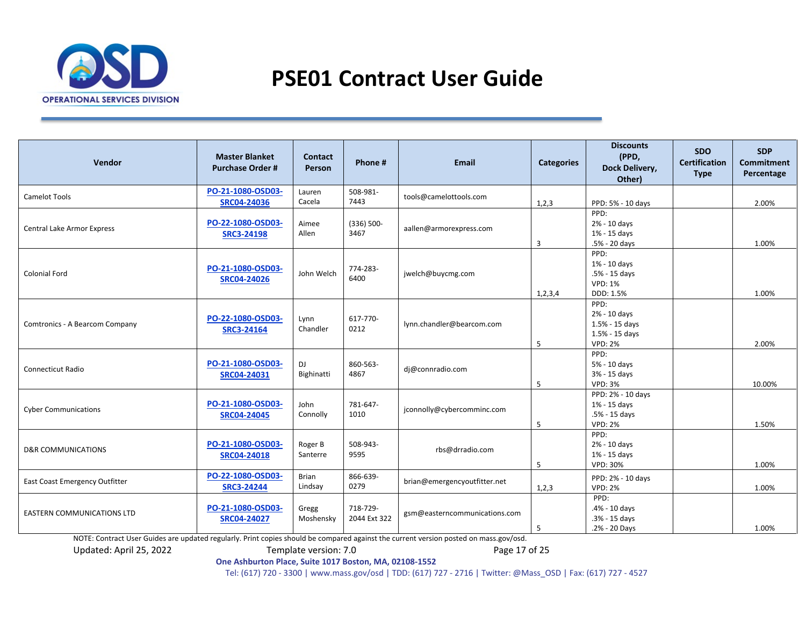

| Vendor                                | <b>Master Blanket</b><br><b>Purchase Order#</b> | Contact<br>Person       | Phone #                  | Email                         | <b>Categories</b> | <b>Discounts</b><br>(PPD,<br>Dock Delivery,<br>Other)                      | <b>SDO</b><br><b>Certification</b><br><b>Type</b> | <b>SDP</b><br><b>Commitment</b><br>Percentage |
|---------------------------------------|-------------------------------------------------|-------------------------|--------------------------|-------------------------------|-------------------|----------------------------------------------------------------------------|---------------------------------------------------|-----------------------------------------------|
| <b>Camelot Tools</b>                  | PO-21-1080-OSD03-<br><b>SRC04-24036</b>         | Lauren<br>Cacela        | 508-981-<br>7443         | tools@camelottools.com        | 1,2,3             | PPD: 5% - 10 days                                                          |                                                   | 2.00%                                         |
| <b>Central Lake Armor Express</b>     | PO-22-1080-OSD03-<br><b>SRC3-24198</b>          | Aimee<br>Allen          | $(336) 500 -$<br>3467    | aallen@armorexpress.com       | 3                 | PPD:<br>2% - 10 days<br>1% - 15 days<br>.5% - 20 days                      |                                                   | 1.00%                                         |
| <b>Colonial Ford</b>                  | PO-21-1080-OSD03-<br><b>SRC04-24026</b>         | John Welch              | 774-283-<br>6400         | jwelch@buycmg.com             | 1, 2, 3, 4        | PPD:<br>1% - 10 days<br>.5% - 15 days<br><b>VPD: 1%</b><br>DDD: 1.5%       |                                                   | 1.00%                                         |
| Comtronics - A Bearcom Company        | PO-22-1080-OSD03-<br><b>SRC3-24164</b>          | Lynn<br>Chandler        | 617-770-<br>0212         | lynn.chandler@bearcom.com     | 5                 | PPD:<br>2% - 10 days<br>1.5% - 15 days<br>1.5% - 15 days<br><b>VPD: 2%</b> |                                                   | 2.00%                                         |
| <b>Connecticut Radio</b>              | PO-21-1080-OSD03-<br>SRC04-24031                | DJ<br>Bighinatti        | 860-563-<br>4867         | dj@connradio.com              | 5                 | PPD:<br>5% - 10 days<br>3% - 15 days<br><b>VPD: 3%</b>                     |                                                   | 10.00%                                        |
| <b>Cyber Communications</b>           | PO-21-1080-OSD03-<br><b>SRC04-24045</b>         | John<br>Connolly        | 781-647-<br>1010         | jconnolly@cybercomminc.com    | 5                 | PPD: 2% - 10 days<br>1% - 15 days<br>.5% - 15 days<br><b>VPD: 2%</b>       |                                                   | 1.50%                                         |
| <b>D&amp;R COMMUNICATIONS</b>         | PO-21-1080-OSD03-<br><b>SRC04-24018</b>         | Roger B<br>Santerre     | 508-943-<br>9595         | rbs@drradio.com               | 5                 | PPD:<br>2% - 10 days<br>1% - 15 days<br>VPD: 30%                           |                                                   | 1.00%                                         |
| <b>East Coast Emergency Outfitter</b> | PO-22-1080-OSD03-<br><b>SRC3-24244</b>          | <b>Brian</b><br>Lindsay | 866-639-<br>0279         | brian@emergencyoutfitter.net  | 1,2,3             | PPD: 2% - 10 days<br><b>VPD: 2%</b>                                        |                                                   | 1.00%                                         |
| <b>EASTERN COMMUNICATIONS LTD</b>     | PO-21-1080-OSD03-<br><b>SRC04-24027</b>         | Gregg<br>Moshensky      | 718-729-<br>2044 Ext 322 | gsm@easterncommunications.com | 5                 | PPD:<br>.4% - 10 days<br>.3% - 15 days<br>.2% - 20 Days                    |                                                   | 1.00%                                         |

NOTE: Contract User Guides are updated regularly. Print copies should be compared against the current version posted on mass.gov/osd.

Updated: April 25, 2022 Template version: 7.0 Page 17 of 25

**One Ashburton Place, Suite 1017 Boston, MA, 02108-1552**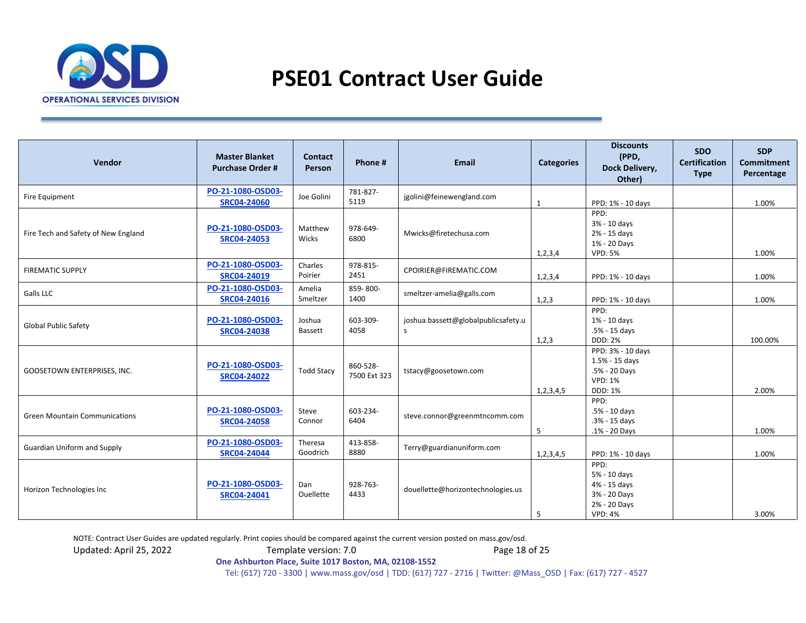

| Vendor                               | <b>Master Blanket</b><br><b>Purchase Order#</b> | <b>Contact</b><br>Person | Phone #                  | <b>Email</b>                                        | <b>Categories</b> | <b>Discounts</b><br>(PPD,<br>Dock Delivery,<br>Other)                                  | <b>SDO</b><br><b>Certification</b><br><b>Type</b> | <b>SDP</b><br><b>Commitment</b><br>Percentage |
|--------------------------------------|-------------------------------------------------|--------------------------|--------------------------|-----------------------------------------------------|-------------------|----------------------------------------------------------------------------------------|---------------------------------------------------|-----------------------------------------------|
| Fire Equipment                       | PO-21-1080-OSD03-<br><b>SRC04-24060</b>         | Joe Golini               | 781-827-<br>5119         | jgolini@feinewengland.com                           | 1                 | PPD: 1% - 10 days                                                                      |                                                   | 1.00%                                         |
| Fire Tech and Safety of New England  | PO-21-1080-OSD03-<br><b>SRC04-24053</b>         | Matthew<br>Wicks         | 978-649-<br>6800         | Mwicks@firetechusa.com                              | 1, 2, 3, 4        | PPD:<br>3% - 10 days<br>2% - 15 days<br>1% - 20 Days<br><b>VPD: 5%</b>                 |                                                   | 1.00%                                         |
| <b>FIREMATIC SUPPLY</b>              | PO-21-1080-OSD03-<br>SRC04-24019                | Charles<br>Poirier       | 978-815-<br>2451         | CPOIRIER@FIREMATIC.COM                              | 1,2,3,4           | PPD: 1% - 10 days                                                                      |                                                   | 1.00%                                         |
| Galls LLC                            | PO-21-1080-OSD03-<br><b>SRC04-24016</b>         | Amelia<br>Smeltzer       | 859-800-<br>1400         | smeltzer-amelia@galls.com                           | 1,2,3             | PPD: 1% - 10 days                                                                      |                                                   | 1.00%                                         |
| <b>Global Public Safety</b>          | PO-21-1080-OSD03-<br><b>SRC04-24038</b>         | Joshua<br>Bassett        | 603-309-<br>4058         | joshua.bassett@globalpublicsafety.u<br>$\mathsf{s}$ | 1,2,3             | PPD:<br>1% - 10 days<br>.5% - 15 days<br><b>DDD: 2%</b>                                |                                                   | 100.00%                                       |
| GOOSETOWN ENTERPRISES, INC.          | PO-21-1080-OSD03-<br><b>SRC04-24022</b>         | <b>Todd Stacy</b>        | 860-528-<br>7500 Ext 323 | tstacy@goosetown.com                                | 1,2,3,4,5         | PPD: 3% - 10 days<br>1.5% - 15 days<br>.5% - 20 Days<br><b>VPD: 1%</b><br>DDD: 1%      |                                                   | 2.00%                                         |
| <b>Green Mountain Communications</b> | PO-21-1080-OSD03-<br><b>SRC04-24058</b>         | Steve<br>Connor          | 603-234-<br>6404         | steve.connor@greenmtncomm.com                       | 5                 | PPD:<br>.5% - 10 days<br>.3% - 15 days<br>.1% - 20 Days                                |                                                   | 1.00%                                         |
| <b>Guardian Uniform and Supply</b>   | PO-21-1080-OSD03-<br><b>SRC04-24044</b>         | Theresa<br>Goodrich      | 413-858-<br>8880         | Terry@guardianuniform.com                           | 1,2,3,4,5         | PPD: 1% - 10 days                                                                      |                                                   | 1.00%                                         |
| Horizon Technologies Inc             | PO-21-1080-OSD03-<br>SRC04-24041                | Dan<br>Ouellette         | 928-763-<br>4433         | douellette@horizontechnologies.us                   | 5                 | PPD:<br>5% - 10 days<br>4% - 15 days<br>3% - 20 Days<br>2% - 20 Days<br><b>VPD: 4%</b> |                                                   | 3.00%                                         |

NOTE: Contract User Guides are updated regularly. Print copies should be compared against the current version posted on mass.gov/osd.

Updated: April 25, 2022 Template version: 7.0 Page 18 of 25

**One Ashburton Place, Suite 1017 Boston, MA, 02108-1552**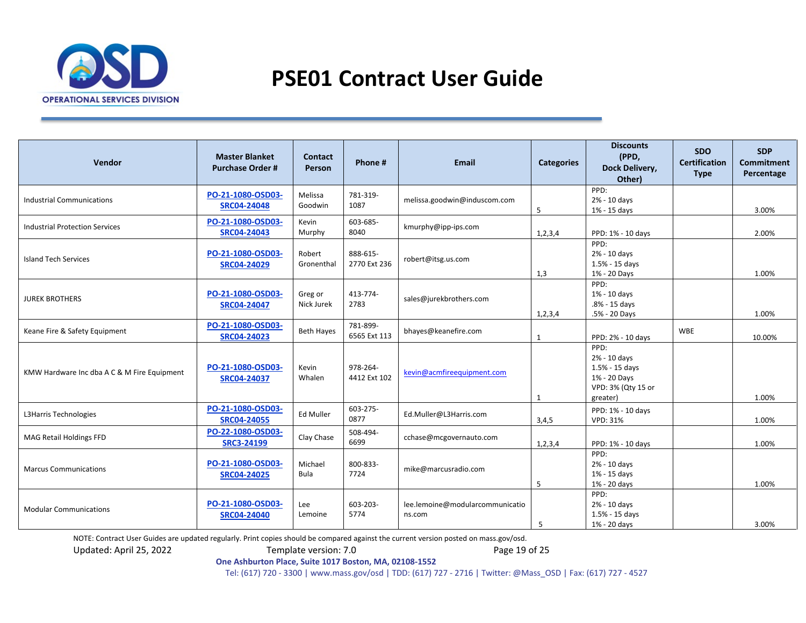

| Vendor                                      | <b>Master Blanket</b><br><b>Purchase Order#</b> | <b>Contact</b><br>Person | Phone #                  | <b>Email</b>                              | <b>Categories</b> | <b>Discounts</b><br>(PPD,<br>Dock Delivery,<br>Other)                                    | <b>SDO</b><br><b>Certification</b><br><b>Type</b> | <b>SDP</b><br><b>Commitment</b><br>Percentage |
|---------------------------------------------|-------------------------------------------------|--------------------------|--------------------------|-------------------------------------------|-------------------|------------------------------------------------------------------------------------------|---------------------------------------------------|-----------------------------------------------|
| <b>Industrial Communications</b>            | PO-21-1080-OSD03-<br><b>SRC04-24048</b>         | Melissa<br>Goodwin       | 781-319-<br>1087         | melissa.goodwin@induscom.com              | 5                 | PPD:<br>2% - 10 days<br>1% - 15 days                                                     |                                                   | 3.00%                                         |
| <b>Industrial Protection Services</b>       | PO-21-1080-OSD03-<br><b>SRC04-24043</b>         | Kevin<br>Murphy          | 603-685-<br>8040         | kmurphy@ipp-ips.com                       | 1, 2, 3, 4        | PPD: 1% - 10 days                                                                        |                                                   | 2.00%                                         |
| <b>Island Tech Services</b>                 | PO-21-1080-OSD03-<br><b>SRC04-24029</b>         | Robert<br>Gronenthal     | 888-615-<br>2770 Ext 236 | robert@itsg.us.com                        | 1,3               | PPD:<br>2% - 10 days<br>1.5% - 15 days<br>1% - 20 Days                                   |                                                   | 1.00%                                         |
| <b>JUREK BROTHERS</b>                       | PO-21-1080-OSD03-<br><b>SRC04-24047</b>         | Greg or<br>Nick Jurek    | 413-774-<br>2783         | sales@jurekbrothers.com                   | 1, 2, 3, 4        | PPD:<br>1% - 10 days<br>.8% - 15 days<br>.5% - 20 Days                                   |                                                   | 1.00%                                         |
| Keane Fire & Safety Equipment               | PO-21-1080-OSD03-<br><b>SRC04-24023</b>         | <b>Beth Hayes</b>        | 781-899-<br>6565 Ext 113 | bhayes@keanefire.com                      | 1                 | PPD: 2% - 10 days                                                                        | <b>WBE</b>                                        | 10.00%                                        |
| KMW Hardware Inc dba A C & M Fire Equipment | PO-21-1080-OSD03-<br><b>SRC04-24037</b>         | Kevin<br>Whalen          | 978-264-<br>4412 Ext 102 | kevin@acmfireequipment.com                | $\mathbf{1}$      | PPD:<br>2% - 10 days<br>1.5% - 15 days<br>1% - 20 Days<br>VPD: 3% (Qty 15 or<br>greater) |                                                   | 1.00%                                         |
| L3Harris Technologies                       | PO-21-1080-OSD03-<br><b>SRC04-24055</b>         | Ed Muller                | 603-275-<br>0877         | Ed.Muller@L3Harris.com                    | 3,4,5             | PPD: 1% - 10 days<br><b>VPD: 31%</b>                                                     |                                                   | 1.00%                                         |
| MAG Retail Holdings FFD                     | PO-22-1080-OSD03-<br><b>SRC3-24199</b>          | Clay Chase               | 508-494-<br>6699         | cchase@mcgovernauto.com                   | 1, 2, 3, 4        | PPD: 1% - 10 days                                                                        |                                                   | 1.00%                                         |
| <b>Marcus Communications</b>                | PO-21-1080-OSD03-<br><b>SRC04-24025</b>         | Michael<br>Bula          | 800-833-<br>7724         | mike@marcusradio.com                      | 5                 | PPD:<br>2% - 10 days<br>1% - 15 days<br>1% - 20 days                                     |                                                   | 1.00%                                         |
| <b>Modular Communications</b>               | PO-21-1080-OSD03-<br><b>SRC04-24040</b>         | Lee<br>Lemoine           | 603-203-<br>5774         | lee.lemoine@modularcommunicatio<br>ns.com | 5                 | PPD:<br>2% - 10 days<br>1.5% - 15 days<br>1% - 20 days                                   |                                                   | 3.00%                                         |

NOTE: Contract User Guides are updated regularly. Print copies should be compared against the current version posted on mass.gov/osd.

Updated: April 25, 2022 Template version: 7.0 Page 19 of 25

**One Ashburton Place, Suite 1017 Boston, MA, 02108-1552**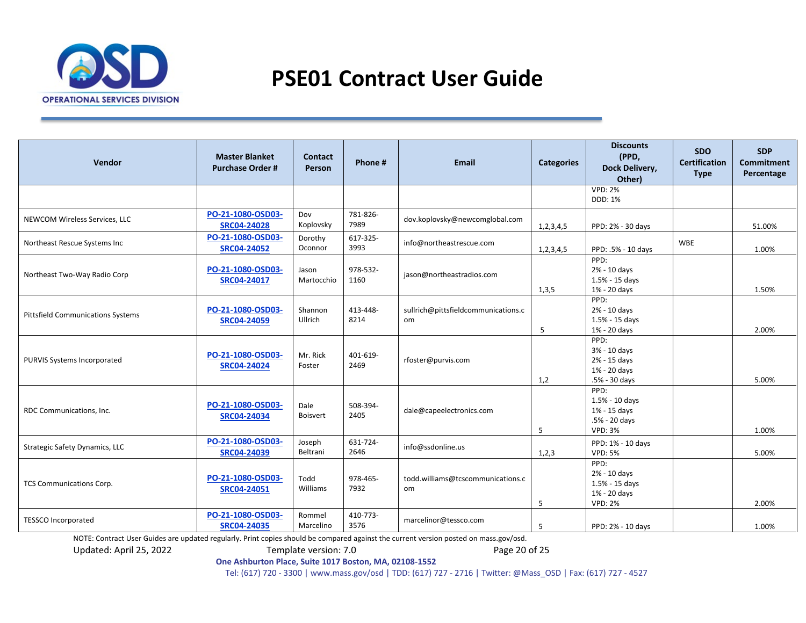

| Vendor                                   | <b>Master Blanket</b><br><b>Purchase Order#</b> | <b>Contact</b><br>Person | Phone #          | <b>Email</b>                              | <b>Categories</b> | <b>Discounts</b><br>(PPD,<br>Dock Delivery,<br>Other)                      | <b>SDO</b><br><b>Certification</b><br><b>Type</b> | <b>SDP</b><br><b>Commitment</b><br>Percentage |
|------------------------------------------|-------------------------------------------------|--------------------------|------------------|-------------------------------------------|-------------------|----------------------------------------------------------------------------|---------------------------------------------------|-----------------------------------------------|
|                                          |                                                 |                          |                  |                                           |                   | <b>VPD: 2%</b><br>DDD: 1%                                                  |                                                   |                                               |
| NEWCOM Wireless Services, LLC            | PO-21-1080-OSD03-<br><b>SRC04-24028</b>         | Dov<br>Koplovsky         | 781-826-<br>7989 | dov.koplovsky@newcomglobal.com            | 1, 2, 3, 4, 5     | PPD: 2% - 30 days                                                          |                                                   | 51.00%                                        |
| Northeast Rescue Systems Inc             | PO-21-1080-OSD03-<br><b>SRC04-24052</b>         | Dorothy<br>Oconnor       | 617-325-<br>3993 | info@northeastrescue.com                  | 1, 2, 3, 4, 5     | PPD: .5% - 10 days                                                         | <b>WBE</b>                                        | 1.00%                                         |
| Northeast Two-Way Radio Corp             | PO-21-1080-OSD03-<br>SRC04-24017                | Jason<br>Martocchio      | 978-532-<br>1160 | jason@northeastradios.com                 | 1,3,5             | PPD:<br>2% - 10 days<br>1.5% - 15 days<br>1% - 20 days                     |                                                   | 1.50%                                         |
| <b>Pittsfield Communications Systems</b> | PO-21-1080-OSD03-<br><b>SRC04-24059</b>         | Shannon<br>Ullrich       | 413-448-<br>8214 | sullrich@pittsfieldcommunications.c<br>om | 5                 | PPD:<br>2% - 10 days<br>1.5% - 15 days<br>1% - 20 days                     |                                                   | 2.00%                                         |
| PURVIS Systems Incorporated              | PO-21-1080-OSD03-<br><b>SRC04-24024</b>         | Mr. Rick<br>Foster       | 401-619-<br>2469 | rfoster@purvis.com                        | 1,2               | PPD:<br>3% - 10 days<br>2% - 15 days<br>1% - 20 days<br>.5% - 30 days      |                                                   | 5.00%                                         |
| RDC Communications, Inc.                 | PO-21-1080-OSD03-<br><b>SRC04-24034</b>         | Dale<br><b>Boisvert</b>  | 508-394-<br>2405 | dale@capeelectronics.com                  | 5                 | PPD:<br>1.5% - 10 days<br>1% - 15 days<br>.5% - 20 days<br><b>VPD: 3%</b>  |                                                   | 1.00%                                         |
| Strategic Safety Dynamics, LLC           | PO-21-1080-OSD03-<br><b>SRC04-24039</b>         | Joseph<br>Beltrani       | 631-724-<br>2646 | info@ssdonline.us                         | 1,2,3             | PPD: 1% - 10 days<br><b>VPD: 5%</b>                                        |                                                   | 5.00%                                         |
| <b>TCS Communications Corp.</b>          | PO-21-1080-OSD03-<br>SRC04-24051                | Todd<br>Williams         | 978-465-<br>7932 | todd.williams@tcscommunications.c<br>om   | 5                 | PPD:<br>2% - 10 days<br>$1.5% - 15$ days<br>1% - 20 days<br><b>VPD: 2%</b> |                                                   | 2.00%                                         |
| <b>TESSCO Incorporated</b>               | PO-21-1080-OSD03-<br><b>SRC04-24035</b>         | Rommel<br>Marcelino      | 410-773-<br>3576 | marcelinor@tessco.com                     | 5                 | PPD: 2% - 10 days                                                          |                                                   | 1.00%                                         |

NOTE: Contract User Guides are updated regularly. Print copies should be compared against the current version posted on mass.gov/osd.<br>19 Page 20 Of 25 Template version: 7.0

Updated: April 25, 2022 Template version: 7.0

**One Ashburton Place, Suite 1017 Boston, MA, 02108-1552**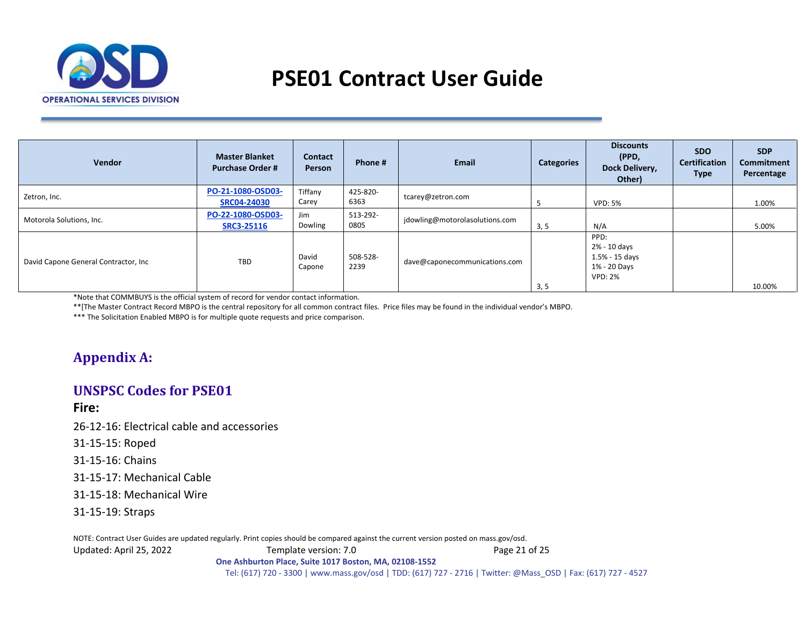

| <b>Vendor</b>                        | <b>Master Blanket</b><br><b>Purchase Order #</b> | <b>Contact</b><br>Person | Phone #          | <b>Email</b>                   | <b>Categories</b> | <b>Discounts</b><br>(PPD,<br>Dock Delivery,<br>Other)                      | SDO.<br><b>Certification</b><br><b>Type</b> | <b>SDP</b><br>Commitment<br>Percentage |
|--------------------------------------|--------------------------------------------------|--------------------------|------------------|--------------------------------|-------------------|----------------------------------------------------------------------------|---------------------------------------------|----------------------------------------|
| Zetron, Inc.                         | PO-21-1080-OSD03-<br><b>SRC04-24030</b>          | Tiffany<br>Carey         | 425-820-<br>6363 | tcarey@zetron.com              |                   | <b>VPD: 5%</b>                                                             |                                             | 1.00%                                  |
| Motorola Solutions, Inc.             | PO-22-1080-OSD03-<br><b>SRC3-25116</b>           | Jim<br>Dowling           | 513-292-<br>0805 | jdowling@motorolasolutions.com | 3, 5              | N/A                                                                        |                                             | 5.00%                                  |
| David Capone General Contractor, Inc | <b>TBD</b>                                       | David<br>Capone          | 508-528-<br>2239 | dave@caponecommunications.com  | 3, 5              | PPD:<br>2% - 10 days<br>$1.5% - 15$ days<br>1% - 20 Days<br><b>VPD: 2%</b> |                                             | 10.00%                                 |

\*Note that COMMBUYS is the official system of record for vendor contact information.

\*\*[The Master Contract Record MBPO is the central repository for all common contract files. Price files may be found in the individual vendor's MBPO.

\*\*\* The Solicitation Enabled MBPO is for multiple quote requests and price comparison.

## **Appendix A:**

## **UNSPSC Codes for PSE01**

**Fire:**

26-12-16: Electrical cable and accessories

31-15-15: Roped

31-15-16: Chains

<span id="page-20-1"></span>31-15-17: Mechanical Cable

31-15-18: Mechanical Wire

31-15-19: Straps

<span id="page-20-0"></span>NOTE: Contract User Guides are updated regularly. Print copies should be compared against the current version posted on mass.gov/osd.

Updated: April 25, 2022 Template version: 7.0 Page 21 of 25

**One Ashburton Place, Suite 1017 Boston, MA, 02108-1552**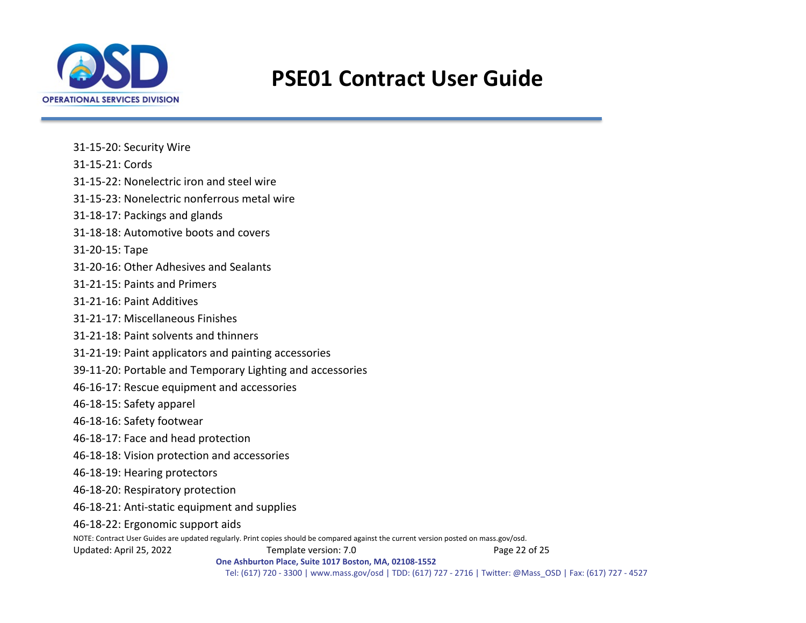

31-15-20: Security Wire

31-15-21: Cords

31-15-22: Nonelectric iron and steel wire

31-15-23: Nonelectric nonferrous metal wire

31-18-17: Packings and glands

31-18-18: Automotive boots and covers

31-20-15: Tape

31-20-16: Other Adhesives and Sealants

31-21-15: Paints and Primers

31-21-16: Paint Additives

31-21-17: Miscellaneous Finishes

31-21-18: Paint solvents and thinners

31-21-19: Paint applicators and painting accessories

39-11-20: Portable and Temporary Lighting and accessories

46-16-17: Rescue equipment and accessories

46-18-15: Safety apparel

46-18-16: Safety footwear

46-18-17: Face and head protection

46-18-18: Vision protection and accessories

46-18-19: Hearing protectors

46-18-20: Respiratory protection

46-18-21: Anti-static equipment and supplies

46-18-22: Ergonomic support aids

NOTE: Contract User Guides are updated regularly. Print copies should be compared against the current version posted on mass.gov/osd.

Updated: April 25, 2022 Template version: 7.0 Page 22 of 25

**One Ashburton Place, Suite 1017 Boston, MA, 02108-1552**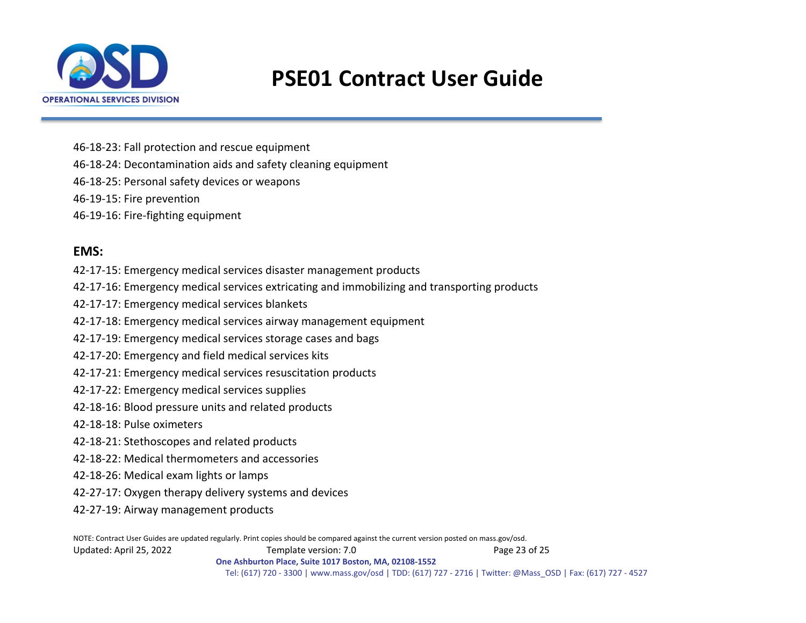

46-18-23: Fall protection and rescue equipment

46-18-24: Decontamination aids and safety cleaning equipment

46-18-25: Personal safety devices or weapons

46-19-15: Fire prevention

46-19-16: Fire-fighting equipment

## **EMS:**

42-17-15: Emergency medical services disaster management products

42-17-16: Emergency medical services extricating and immobilizing and transporting products

42-17-17: Emergency medical services blankets

42-17-18: Emergency medical services airway management equipment

42-17-19: Emergency medical services storage cases and bags

42-17-20: Emergency and field medical services kits

42-17-21: Emergency medical services resuscitation products

42-17-22: Emergency medical services supplies

42-18-16: Blood pressure units and related products

42-18-18: Pulse oximeters

42-18-21: Stethoscopes and related products

42-18-22: Medical thermometers and accessories

42-18-26: Medical exam lights or lamps

42-27-17: Oxygen therapy delivery systems and devices

42-27-19: Airway management products

NOTE: Contract User Guides are updated regularly. Print copies should be compared against the current version posted on mass.gov/osd. Updated: April 25, 2022 Template version: 7.0 Page 23 of 25 **One Ashburton Place, Suite 1017 Boston, MA, 02108-1552**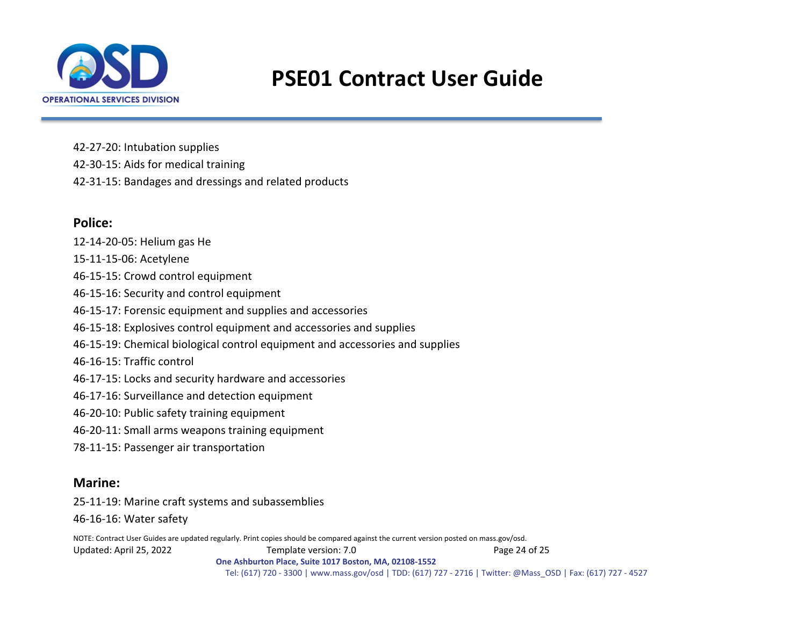

42-27-20: Intubation supplies 42-30-15: Aids for medical training 42-31-15: Bandages and dressings and related products

## **Police:**

12-14-20-05: Helium gas He 15-11-15-06: Acetylene 46-15-15: Crowd control equipment 46-15-16: Security and control equipment 46-15-17: Forensic equipment and supplies and accessories 46-15-18: Explosives control equipment and accessories and supplies 46-15-19: Chemical biological control equipment and accessories and supplies 46-16-15: Traffic control 46-17-15: Locks and security hardware and accessories 46-17-16: Surveillance and detection equipment 46-20-10: Public safety training equipment 46-20-11: Small arms weapons training equipment 78-11-15: Passenger air transportation

### **Marine:**

25-11-19: Marine craft systems and subassemblies

46-16-16: Water safety

NOTE: Contract User Guides are updated regularly. Print copies should be compared against the current version posted on mass.gov/osd. Updated: April 25, 2022 Template version: 7.0 Page 24 of 25 **One Ashburton Place, Suite 1017 Boston, MA, 02108-1552**